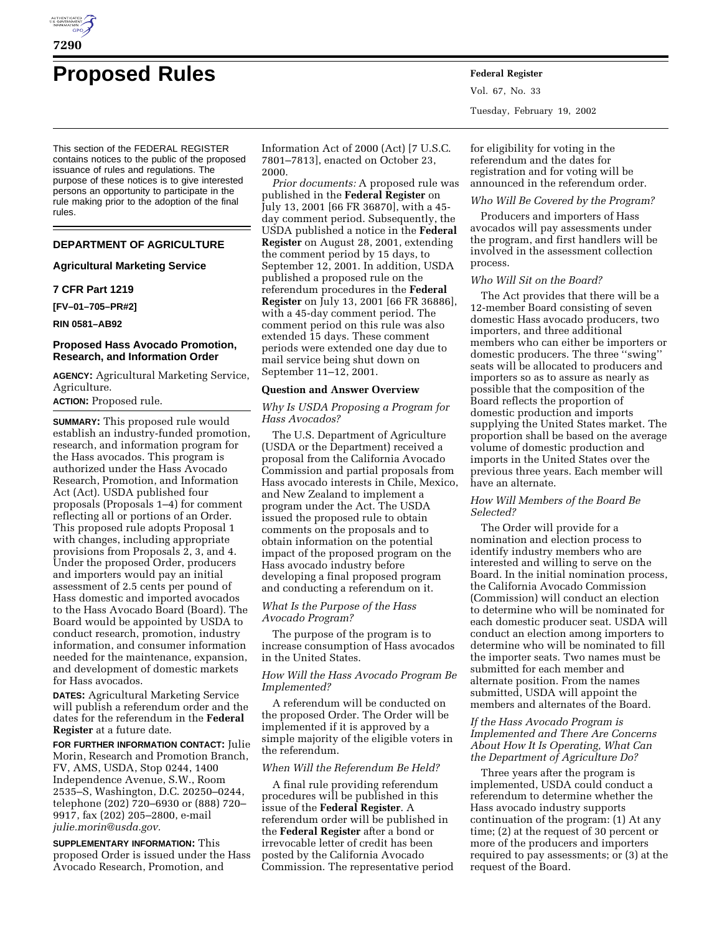

# **Proposed Rules Federal Register**

This section of the FEDERAL REGISTER contains notices to the public of the proposed issuance of rules and regulations. The purpose of these notices is to give interested persons an opportunity to participate in the rule making prior to the adoption of the final rules.

# **DEPARTMENT OF AGRICULTURE**

## **Agricultural Marketing Service**

## **7 CFR Part 1219**

**[FV–01–705–PR#2]**

#### **RIN 0581–AB92**

## **Proposed Hass Avocado Promotion, Research, and Information Order**

**AGENCY:** Agricultural Marketing Service, Agriculture.

## **ACTION:** Proposed rule.

**SUMMARY:** This proposed rule would establish an industry-funded promotion, research, and information program for the Hass avocados. This program is authorized under the Hass Avocado Research, Promotion, and Information Act (Act). USDA published four proposals (Proposals 1–4) for comment reflecting all or portions of an Order. This proposed rule adopts Proposal 1 with changes, including appropriate provisions from Proposals 2, 3, and 4. Under the proposed Order, producers and importers would pay an initial assessment of 2.5 cents per pound of Hass domestic and imported avocados to the Hass Avocado Board (Board). The Board would be appointed by USDA to conduct research, promotion, industry information, and consumer information needed for the maintenance, expansion, and development of domestic markets for Hass avocados.

**DATES:** Agricultural Marketing Service will publish a referendum order and the dates for the referendum in the **Federal Register** at a future date.

**FOR FURTHER INFORMATION CONTACT:** Julie Morin, Research and Promotion Branch, FV, AMS, USDA, Stop 0244, 1400 Independence Avenue, S.W., Room 2535–S, Washington, D.C. 20250–0244, telephone (202) 720–6930 or (888) 720– 9917, fax (202) 205–2800, e-mail *julie.morin@usda.gov.*

**SUPPLEMENTARY INFORMATION:** This proposed Order is issued under the Hass Avocado Research, Promotion, and

Information Act of 2000 (Act) [7 U.S.C. 7801–7813], enacted on October 23, 2000.

*Prior documents:* A proposed rule was published in the **Federal Register** on July 13, 2001 [66 FR 36870], with a 45 day comment period. Subsequently, the USDA published a notice in the **Federal Register** on August 28, 2001, extending the comment period by 15 days, to September 12, 2001. In addition, USDA published a proposed rule on the referendum procedures in the **Federal Register** on July 13, 2001 [66 FR 36886], with a 45-day comment period. The comment period on this rule was also extended 15 days. These comment periods were extended one day due to mail service being shut down on September 11–12, 2001.

## **Question and Answer Overview**

# *Why Is USDA Proposing a Program for Hass Avocados?*

The U.S. Department of Agriculture (USDA or the Department) received a proposal from the California Avocado Commission and partial proposals from Hass avocado interests in Chile, Mexico, and New Zealand to implement a program under the Act. The USDA issued the proposed rule to obtain comments on the proposals and to obtain information on the potential impact of the proposed program on the Hass avocado industry before developing a final proposed program and conducting a referendum on it.

## *What Is the Purpose of the Hass Avocado Program?*

The purpose of the program is to increase consumption of Hass avocados in the United States.

## *How Will the Hass Avocado Program Be Implemented?*

A referendum will be conducted on the proposed Order. The Order will be implemented if it is approved by a simple majority of the eligible voters in the referendum.

#### *When Will the Referendum Be Held?*

A final rule providing referendum procedures will be published in this issue of the **Federal Register**. A referendum order will be published in the **Federal Register** after a bond or irrevocable letter of credit has been posted by the California Avocado Commission. The representative period Vol. 67, No. 33 Tuesday, February 19, 2002

for eligibility for voting in the referendum and the dates for registration and for voting will be announced in the referendum order.

## *Who Will Be Covered by the Program?*

Producers and importers of Hass avocados will pay assessments under the program, and first handlers will be involved in the assessment collection process.

# *Who Will Sit on the Board?*

The Act provides that there will be a 12-member Board consisting of seven domestic Hass avocado producers, two importers, and three additional members who can either be importers or domestic producers. The three ''swing'' seats will be allocated to producers and importers so as to assure as nearly as possible that the composition of the Board reflects the proportion of domestic production and imports supplying the United States market. The proportion shall be based on the average volume of domestic production and imports in the United States over the previous three years. Each member will have an alternate.

## *How Will Members of the Board Be Selected?*

The Order will provide for a nomination and election process to identify industry members who are interested and willing to serve on the Board. In the initial nomination process, the California Avocado Commission (Commission) will conduct an election to determine who will be nominated for each domestic producer seat. USDA will conduct an election among importers to determine who will be nominated to fill the importer seats. Two names must be submitted for each member and alternate position. From the names submitted, USDA will appoint the members and alternates of the Board.

# *If the Hass Avocado Program is Implemented and There Are Concerns About How It Is Operating, What Can the Department of Agriculture Do?*

Three years after the program is implemented, USDA could conduct a referendum to determine whether the Hass avocado industry supports continuation of the program: (1) At any time; (2) at the request of 30 percent or more of the producers and importers required to pay assessments; or (3) at the request of the Board.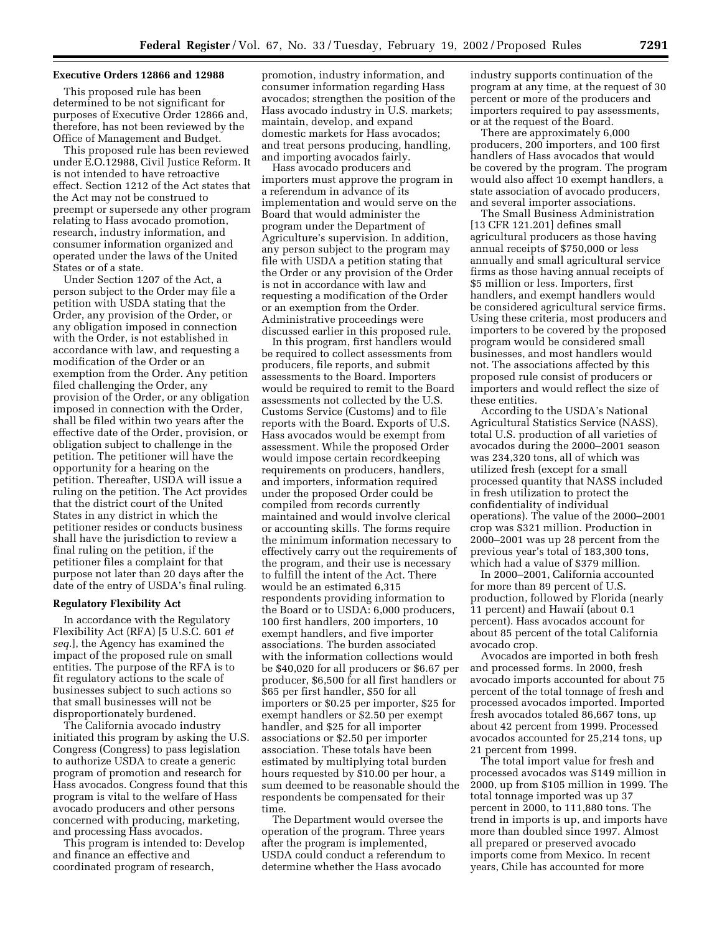#### **Executive Orders 12866 and 12988**

This proposed rule has been determined to be not significant for purposes of Executive Order 12866 and, therefore, has not been reviewed by the Office of Management and Budget.

This proposed rule has been reviewed under E.O.12988, Civil Justice Reform. It is not intended to have retroactive effect. Section 1212 of the Act states that the Act may not be construed to preempt or supersede any other program relating to Hass avocado promotion, research, industry information, and consumer information organized and operated under the laws of the United States or of a state.

Under Section 1207 of the Act, a person subject to the Order may file a petition with USDA stating that the Order, any provision of the Order, or any obligation imposed in connection with the Order, is not established in accordance with law, and requesting a modification of the Order or an exemption from the Order. Any petition filed challenging the Order, any provision of the Order, or any obligation imposed in connection with the Order, shall be filed within two years after the effective date of the Order, provision, or obligation subject to challenge in the petition. The petitioner will have the opportunity for a hearing on the petition. Thereafter, USDA will issue a ruling on the petition. The Act provides that the district court of the United States in any district in which the petitioner resides or conducts business shall have the jurisdiction to review a final ruling on the petition, if the petitioner files a complaint for that purpose not later than 20 days after the date of the entry of USDA's final ruling.

## **Regulatory Flexibility Act**

In accordance with the Regulatory Flexibility Act (RFA) [5 U.S.C. 601 *et seq.*], the Agency has examined the impact of the proposed rule on small entities. The purpose of the RFA is to fit regulatory actions to the scale of businesses subject to such actions so that small businesses will not be disproportionately burdened.

The California avocado industry initiated this program by asking the U.S. Congress (Congress) to pass legislation to authorize USDA to create a generic program of promotion and research for Hass avocados. Congress found that this program is vital to the welfare of Hass avocado producers and other persons concerned with producing, marketing, and processing Hass avocados.

This program is intended to: Develop and finance an effective and coordinated program of research,

promotion, industry information, and consumer information regarding Hass avocados; strengthen the position of the Hass avocado industry in U.S. markets; maintain, develop, and expand domestic markets for Hass avocados; and treat persons producing, handling, and importing avocados fairly.

Hass avocado producers and importers must approve the program in a referendum in advance of its implementation and would serve on the Board that would administer the program under the Department of Agriculture's supervision. In addition, any person subject to the program may file with USDA a petition stating that the Order or any provision of the Order is not in accordance with law and requesting a modification of the Order or an exemption from the Order. Administrative proceedings were discussed earlier in this proposed rule.

In this program, first handlers would be required to collect assessments from producers, file reports, and submit assessments to the Board. Importers would be required to remit to the Board assessments not collected by the U.S. Customs Service (Customs) and to file reports with the Board. Exports of U.S. Hass avocados would be exempt from assessment. While the proposed Order would impose certain recordkeeping requirements on producers, handlers, and importers, information required under the proposed Order could be compiled from records currently maintained and would involve clerical or accounting skills. The forms require the minimum information necessary to effectively carry out the requirements of the program, and their use is necessary to fulfill the intent of the Act. There would be an estimated 6,315 respondents providing information to the Board or to USDA: 6,000 producers, 100 first handlers, 200 importers, 10 exempt handlers, and five importer associations. The burden associated with the information collections would be \$40,020 for all producers or \$6.67 per producer, \$6,500 for all first handlers or \$65 per first handler, \$50 for all importers or \$0.25 per importer, \$25 for exempt handlers or \$2.50 per exempt handler, and \$25 for all importer associations or \$2.50 per importer association. These totals have been estimated by multiplying total burden hours requested by \$10.00 per hour, a sum deemed to be reasonable should the respondents be compensated for their time.

The Department would oversee the operation of the program. Three years after the program is implemented, USDA could conduct a referendum to determine whether the Hass avocado

industry supports continuation of the program at any time, at the request of 30 percent or more of the producers and importers required to pay assessments, or at the request of the Board.

There are approximately 6,000 producers, 200 importers, and 100 first handlers of Hass avocados that would be covered by the program. The program would also affect 10 exempt handlers, a state association of avocado producers, and several importer associations.

The Small Business Administration [13 CFR 121.201] defines small agricultural producers as those having annual receipts of \$750,000 or less annually and small agricultural service firms as those having annual receipts of \$5 million or less. Importers, first handlers, and exempt handlers would be considered agricultural service firms. Using these criteria, most producers and importers to be covered by the proposed program would be considered small businesses, and most handlers would not. The associations affected by this proposed rule consist of producers or importers and would reflect the size of these entities.

According to the USDA's National Agricultural Statistics Service (NASS), total U.S. production of all varieties of avocados during the 2000–2001 season was 234,320 tons, all of which was utilized fresh (except for a small processed quantity that NASS included in fresh utilization to protect the confidentiality of individual operations). The value of the 2000–2001 crop was \$321 million. Production in 2000–2001 was up 28 percent from the previous year's total of 183,300 tons, which had a value of \$379 million.

In 2000–2001, California accounted for more than 89 percent of U.S. production, followed by Florida (nearly 11 percent) and Hawaii (about 0.1 percent). Hass avocados account for about 85 percent of the total California avocado crop.

Avocados are imported in both fresh and processed forms. In 2000, fresh avocado imports accounted for about 75 percent of the total tonnage of fresh and processed avocados imported. Imported fresh avocados totaled 86,667 tons, up about 42 percent from 1999. Processed avocados accounted for 25,214 tons, up 21 percent from 1999.

The total import value for fresh and processed avocados was \$149 million in 2000, up from \$105 million in 1999. The total tonnage imported was up 37 percent in 2000, to 111,880 tons. The trend in imports is up, and imports have more than doubled since 1997. Almost all prepared or preserved avocado imports come from Mexico. In recent years, Chile has accounted for more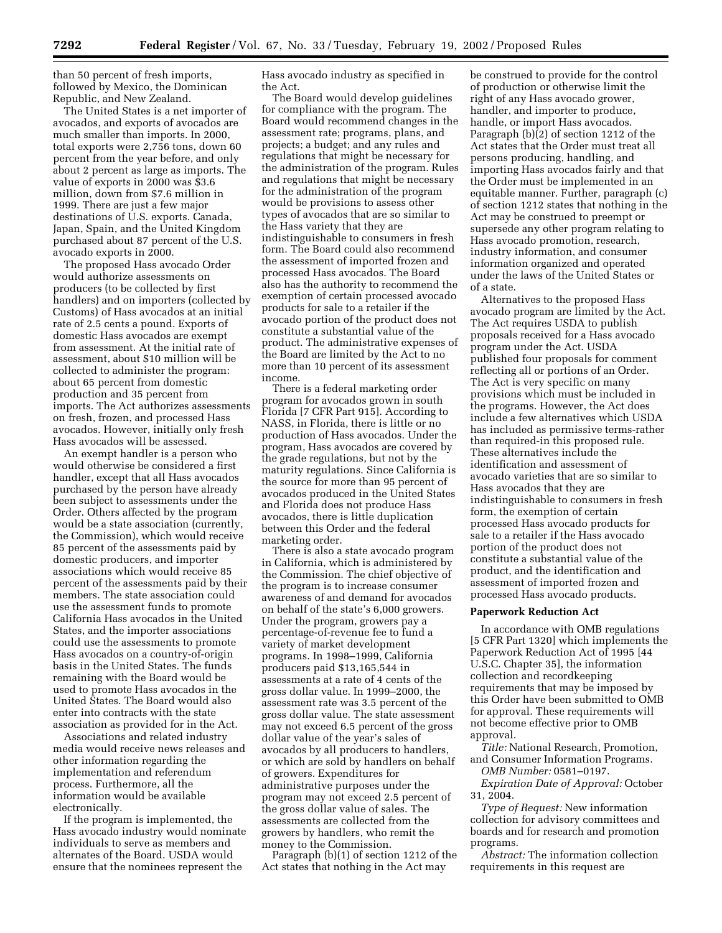than 50 percent of fresh imports, followed by Mexico, the Dominican Republic, and New Zealand.

The United States is a net importer of avocados, and exports of avocados are much smaller than imports. In 2000, total exports were 2,756 tons, down 60 percent from the year before, and only about 2 percent as large as imports. The value of exports in 2000 was \$3.6 million, down from \$7.6 million in 1999. There are just a few major destinations of U.S. exports. Canada, Japan, Spain, and the United Kingdom purchased about 87 percent of the U.S. avocado exports in 2000.

The proposed Hass avocado Order would authorize assessments on producers (to be collected by first handlers) and on importers (collected by Customs) of Hass avocados at an initial rate of 2.5 cents a pound. Exports of domestic Hass avocados are exempt from assessment. At the initial rate of assessment, about \$10 million will be collected to administer the program: about 65 percent from domestic production and 35 percent from imports. The Act authorizes assessments on fresh, frozen, and processed Hass avocados. However, initially only fresh Hass avocados will be assessed.

An exempt handler is a person who would otherwise be considered a first handler, except that all Hass avocados purchased by the person have already been subject to assessments under the Order. Others affected by the program would be a state association (currently, the Commission), which would receive 85 percent of the assessments paid by domestic producers, and importer associations which would receive 85 percent of the assessments paid by their members. The state association could use the assessment funds to promote California Hass avocados in the United States, and the importer associations could use the assessments to promote Hass avocados on a country-of-origin basis in the United States. The funds remaining with the Board would be used to promote Hass avocados in the United States. The Board would also enter into contracts with the state association as provided for in the Act.

Associations and related industry media would receive news releases and other information regarding the implementation and referendum process. Furthermore, all the information would be available electronically.

If the program is implemented, the Hass avocado industry would nominate individuals to serve as members and alternates of the Board. USDA would ensure that the nominees represent the

Hass avocado industry as specified in the Act.

The Board would develop guidelines for compliance with the program. The Board would recommend changes in the assessment rate; programs, plans, and projects; a budget; and any rules and regulations that might be necessary for the administration of the program. Rules and regulations that might be necessary for the administration of the program would be provisions to assess other types of avocados that are so similar to the Hass variety that they are indistinguishable to consumers in fresh form. The Board could also recommend the assessment of imported frozen and processed Hass avocados. The Board also has the authority to recommend the exemption of certain processed avocado products for sale to a retailer if the avocado portion of the product does not constitute a substantial value of the product. The administrative expenses of the Board are limited by the Act to no more than 10 percent of its assessment income.

There is a federal marketing order program for avocados grown in south Florida [7 CFR Part 915]. According to NASS, in Florida, there is little or no production of Hass avocados. Under the program, Hass avocados are covered by the grade regulations, but not by the maturity regulations. Since California is the source for more than 95 percent of avocados produced in the United States and Florida does not produce Hass avocados, there is little duplication between this Order and the federal marketing order.

There is also a state avocado program in California, which is administered by the Commission. The chief objective of the program is to increase consumer awareness of and demand for avocados on behalf of the state's 6,000 growers. Under the program, growers pay a percentage-of-revenue fee to fund a variety of market development programs. In 1998–1999, California producers paid \$13,165,544 in assessments at a rate of 4 cents of the gross dollar value. In 1999–2000, the assessment rate was 3.5 percent of the gross dollar value. The state assessment may not exceed 6.5 percent of the gross dollar value of the year's sales of avocados by all producers to handlers, or which are sold by handlers on behalf of growers. Expenditures for administrative purposes under the program may not exceed 2.5 percent of the gross dollar value of sales. The assessments are collected from the growers by handlers, who remit the money to the Commission.

Paragraph (b)(1) of section 1212 of the Act states that nothing in the Act may

be construed to provide for the control of production or otherwise limit the right of any Hass avocado grower, handler, and importer to produce, handle, or import Hass avocados. Paragraph (b)(2) of section 1212 of the Act states that the Order must treat all persons producing, handling, and importing Hass avocados fairly and that the Order must be implemented in an equitable manner. Further, paragraph (c) of section 1212 states that nothing in the Act may be construed to preempt or supersede any other program relating to Hass avocado promotion, research, industry information, and consumer information organized and operated under the laws of the United States or of a state.

Alternatives to the proposed Hass avocado program are limited by the Act. The Act requires USDA to publish proposals received for a Hass avocado program under the Act. USDA published four proposals for comment reflecting all or portions of an Order. The Act is very specific on many provisions which must be included in the programs. However, the Act does include a few alternatives which USDA has included as permissive terms-rather than required-in this proposed rule. These alternatives include the identification and assessment of avocado varieties that are so similar to Hass avocados that they are indistinguishable to consumers in fresh form, the exemption of certain processed Hass avocado products for sale to a retailer if the Hass avocado portion of the product does not constitute a substantial value of the product, and the identification and assessment of imported frozen and processed Hass avocado products.

#### **Paperwork Reduction Act**

In accordance with OMB regulations [5 CFR Part 1320] which implements the Paperwork Reduction Act of 1995 [44 U.S.C. Chapter 35], the information collection and recordkeeping requirements that may be imposed by this Order have been submitted to OMB for approval. These requirements will not become effective prior to OMB approval.

*Title:* National Research, Promotion, and Consumer Information Programs.

*OMB Number:* 0581–0197.

*Expiration Date of Approval:* October 31, 2004.

*Type of Request:* New information collection for advisory committees and boards and for research and promotion programs.

*Abstract:* The information collection requirements in this request are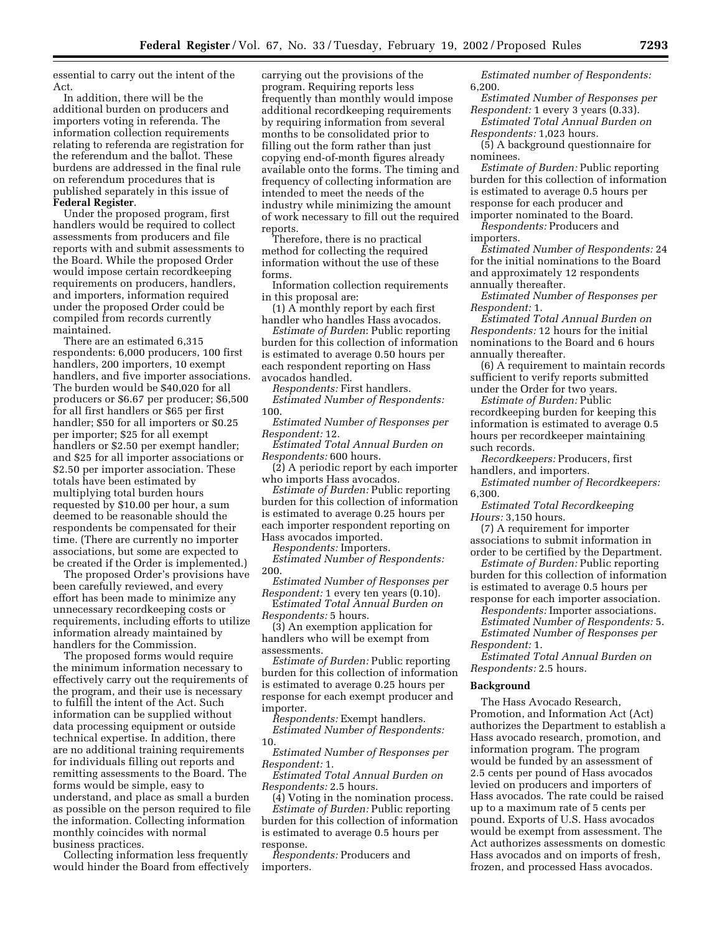essential to carry out the intent of the Act.

In addition, there will be the additional burden on producers and importers voting in referenda. The information collection requirements relating to referenda are registration for the referendum and the ballot. These burdens are addressed in the final rule on referendum procedures that is published separately in this issue of **Federal Register**.

Under the proposed program, first handlers would be required to collect assessments from producers and file reports with and submit assessments to the Board. While the proposed Order would impose certain recordkeeping requirements on producers, handlers, and importers, information required under the proposed Order could be compiled from records currently maintained.

There are an estimated 6,315 respondents: 6,000 producers, 100 first handlers, 200 importers, 10 exempt handlers, and five importer associations. The burden would be \$40,020 for all producers or \$6.67 per producer; \$6,500 for all first handlers or \$65 per first handler; \$50 for all importers or \$0.25 per importer; \$25 for all exempt handlers or \$2.50 per exempt handler; and \$25 for all importer associations or \$2.50 per importer association. These totals have been estimated by multiplying total burden hours requested by \$10.00 per hour, a sum deemed to be reasonable should the respondents be compensated for their time. (There are currently no importer associations, but some are expected to be created if the Order is implemented.)

The proposed Order's provisions have been carefully reviewed, and every effort has been made to minimize any unnecessary recordkeeping costs or requirements, including efforts to utilize information already maintained by handlers for the Commission.

The proposed forms would require the minimum information necessary to effectively carry out the requirements of the program, and their use is necessary to fulfill the intent of the Act. Such information can be supplied without data processing equipment or outside technical expertise. In addition, there are no additional training requirements for individuals filling out reports and remitting assessments to the Board. The forms would be simple, easy to understand, and place as small a burden as possible on the person required to file the information. Collecting information monthly coincides with normal business practices.

Collecting information less frequently would hinder the Board from effectively carrying out the provisions of the program. Requiring reports less frequently than monthly would impose additional recordkeeping requirements by requiring information from several months to be consolidated prior to filling out the form rather than just copying end-of-month figures already available onto the forms. The timing and frequency of collecting information are intended to meet the needs of the industry while minimizing the amount of work necessary to fill out the required reports.

Therefore, there is no practical method for collecting the required information without the use of these forms.

Information collection requirements in this proposal are:

(1) A monthly report by each first handler who handles Hass avocados.

*Estimate of Burden*: Public reporting burden for this collection of information is estimated to average 0.50 hours per each respondent reporting on Hass avocados handled.

*Respondents:* First handlers. *Estimated Number of Respondents:* 100.

*Estimated Number of Responses per Respondent:* 12.

*Estimated Total Annual Burden on Respondents:* 600 hours.

(2) A periodic report by each importer who imports Hass avocados.

*Estimate of Burden:* Public reporting burden for this collection of information is estimated to average 0.25 hours per each importer respondent reporting on Hass avocados imported.

*Respondents:* Importers.

*Estimated Number of Respondents:* 200.

*Estimated Number of Responses per Respondent:* 1 every ten years (0.10).

E*stimated Total Annual Burden on Respondents:* 5 hours.

(3) An exemption application for handlers who will be exempt from assessments.

*Estimate of Burden:* Public reporting burden for this collection of information is estimated to average 0.25 hours per response for each exempt producer and importer.

*Respondents:* Exempt handlers. *Estimated Number of Respondents:* 10.

*Estimated Number of Responses per Respondent:* 1.

*Estimated Total Annual Burden on Respondents:* 2.5 hours.

(4) Voting in the nomination process. *Estimate of Burden:* Public reporting burden for this collection of information is estimated to average 0.5 hours per response.

*Respondents:* Producers and importers.

*Estimated number of Respondents:* 6,200.

*Estimated Number of Responses per Respondent:* 1 every 3 years (0.33).

*Estimated Total Annual Burden on Respondents:* 1,023 hours.

(5) A background questionnaire for nominees.

*Estimate of Burden:* Public reporting burden for this collection of information is estimated to average 0.5 hours per response for each producer and importer nominated to the Board.

*Respondents:* Producers and importers.

*Estimated Number of Respondents:* 24 for the initial nominations to the Board and approximately 12 respondents annually thereafter.

*Estimated Number of Responses per Respondent:* 1.

*Estimated Total Annual Burden on Respondents:* 12 hours for the initial nominations to the Board and 6 hours annually thereafter.

(6) A requirement to maintain records sufficient to verify reports submitted under the Order for two years.

*Estimate of Burden:* Public recordkeeping burden for keeping this information is estimated to average 0.5 hours per recordkeeper maintaining such records.

*Recordkeepers:* Producers, first handlers, and importers.

*Estimated number of Recordkeepers:* 6,300.

*Estimated Total Recordkeeping Hours:* 3,150 hours.

(7) A requirement for importer associations to submit information in order to be certified by the Department.

*Estimate of Burden:* Public reporting burden for this collection of information is estimated to average 0.5 hours per

response for each importer association.

*Respondents:* Importer associations.

*Estimated Number of Respondents:* 5. *Estimated Number of Responses per*

*Respondent:* 1.

*Estimated Total Annual Burden on Respondents:* 2.5 hours.

#### **Background**

The Hass Avocado Research, Promotion, and Information Act (Act) authorizes the Department to establish a Hass avocado research, promotion, and information program. The program would be funded by an assessment of 2.5 cents per pound of Hass avocados levied on producers and importers of Hass avocados. The rate could be raised up to a maximum rate of 5 cents per pound. Exports of U.S. Hass avocados would be exempt from assessment. The Act authorizes assessments on domestic Hass avocados and on imports of fresh, frozen, and processed Hass avocados.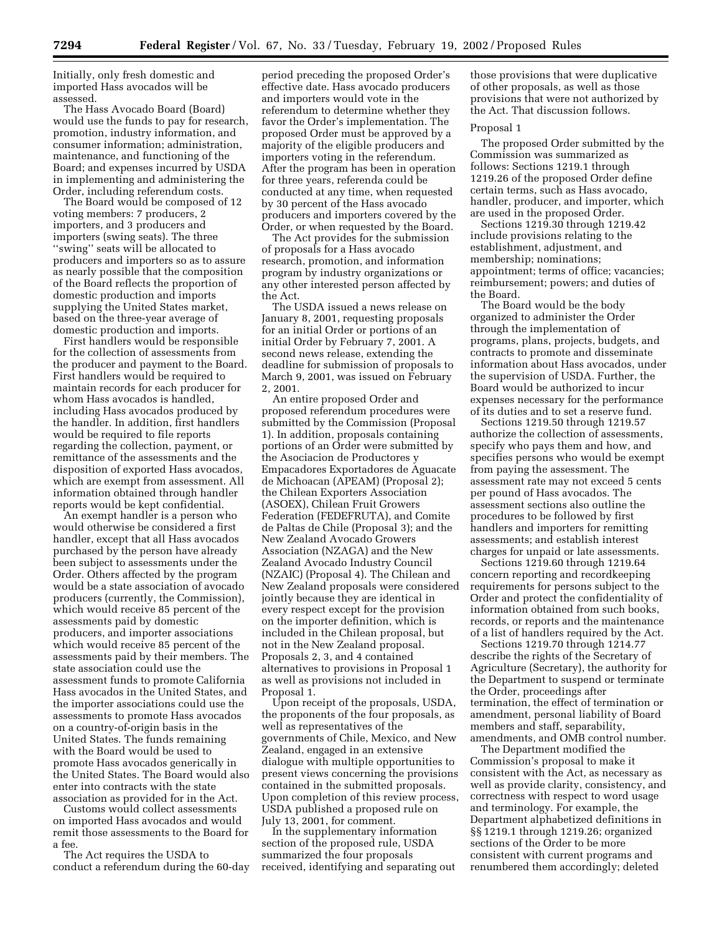Initially, only fresh domestic and imported Hass avocados will be assessed.

The Hass Avocado Board (Board) would use the funds to pay for research, promotion, industry information, and consumer information; administration, maintenance, and functioning of the Board; and expenses incurred by USDA in implementing and administering the Order, including referendum costs.

The Board would be composed of 12 voting members: 7 producers, 2 importers, and 3 producers and importers (swing seats). The three ''swing'' seats will be allocated to producers and importers so as to assure as nearly possible that the composition of the Board reflects the proportion of domestic production and imports supplying the United States market, based on the three-year average of domestic production and imports.

First handlers would be responsible for the collection of assessments from the producer and payment to the Board. First handlers would be required to maintain records for each producer for whom Hass avocados is handled, including Hass avocados produced by the handler. In addition, first handlers would be required to file reports regarding the collection, payment, or remittance of the assessments and the disposition of exported Hass avocados, which are exempt from assessment. All information obtained through handler reports would be kept confidential.

An exempt handler is a person who would otherwise be considered a first handler, except that all Hass avocados purchased by the person have already been subject to assessments under the Order. Others affected by the program would be a state association of avocado producers (currently, the Commission), which would receive 85 percent of the assessments paid by domestic producers, and importer associations which would receive 85 percent of the assessments paid by their members. The state association could use the assessment funds to promote California Hass avocados in the United States, and the importer associations could use the assessments to promote Hass avocados on a country-of-origin basis in the United States. The funds remaining with the Board would be used to promote Hass avocados generically in the United States. The Board would also enter into contracts with the state association as provided for in the Act.

Customs would collect assessments on imported Hass avocados and would remit those assessments to the Board for a fee.

The Act requires the USDA to conduct a referendum during the 60-day

period preceding the proposed Order's effective date. Hass avocado producers and importers would vote in the referendum to determine whether they favor the Order's implementation. The proposed Order must be approved by a majority of the eligible producers and importers voting in the referendum. After the program has been in operation for three years, referenda could be conducted at any time, when requested by 30 percent of the Hass avocado producers and importers covered by the Order, or when requested by the Board.

The Act provides for the submission of proposals for a Hass avocado research, promotion, and information program by industry organizations or any other interested person affected by the Act.

The USDA issued a news release on January 8, 2001, requesting proposals for an initial Order or portions of an initial Order by February 7, 2001. A second news release, extending the deadline for submission of proposals to March 9, 2001, was issued on February 2, 2001.

An entire proposed Order and proposed referendum procedures were submitted by the Commission (Proposal 1). In addition, proposals containing portions of an Order were submitted by the Asociacion de Productores y Empacadores Exportadores de Aguacate de Michoacan (APEAM) (Proposal 2); the Chilean Exporters Association (ASOEX), Chilean Fruit Growers Federation (FEDEFRUTA), and Comite de Paltas de Chile (Proposal 3); and the New Zealand Avocado Growers Association (NZAGA) and the New Zealand Avocado Industry Council (NZAIC) (Proposal 4). The Chilean and New Zealand proposals were considered jointly because they are identical in every respect except for the provision on the importer definition, which is included in the Chilean proposal, but not in the New Zealand proposal. Proposals 2, 3, and 4 contained alternatives to provisions in Proposal 1 as well as provisions not included in Proposal 1.

Upon receipt of the proposals, USDA, the proponents of the four proposals, as well as representatives of the governments of Chile, Mexico, and New Zealand, engaged in an extensive dialogue with multiple opportunities to present views concerning the provisions contained in the submitted proposals. Upon completion of this review process, USDA published a proposed rule on July 13, 2001, for comment.

In the supplementary information section of the proposed rule, USDA summarized the four proposals received, identifying and separating out those provisions that were duplicative of other proposals, as well as those provisions that were not authorized by the Act. That discussion follows.

#### Proposal 1

The proposed Order submitted by the Commission was summarized as follows: Sections 1219.1 through 1219.26 of the proposed Order define certain terms, such as Hass avocado, handler, producer, and importer, which are used in the proposed Order.

Sections 1219.30 through 1219.42 include provisions relating to the establishment, adjustment, and membership; nominations; appointment; terms of office; vacancies; reimbursement; powers; and duties of the Board.

The Board would be the body organized to administer the Order through the implementation of programs, plans, projects, budgets, and contracts to promote and disseminate information about Hass avocados, under the supervision of USDA. Further, the Board would be authorized to incur expenses necessary for the performance of its duties and to set a reserve fund.

Sections 1219.50 through 1219.57 authorize the collection of assessments, specify who pays them and how, and specifies persons who would be exempt from paying the assessment. The assessment rate may not exceed 5 cents per pound of Hass avocados. The assessment sections also outline the procedures to be followed by first handlers and importers for remitting assessments; and establish interest charges for unpaid or late assessments.

Sections 1219.60 through 1219.64 concern reporting and recordkeeping requirements for persons subject to the Order and protect the confidentiality of information obtained from such books, records, or reports and the maintenance of a list of handlers required by the Act.

Sections 1219.70 through 1214.77 describe the rights of the Secretary of Agriculture (Secretary), the authority for the Department to suspend or terminate the Order, proceedings after termination, the effect of termination or amendment, personal liability of Board members and staff, separability, amendments, and OMB control number.

The Department modified the Commission's proposal to make it consistent with the Act, as necessary as well as provide clarity, consistency, and correctness with respect to word usage and terminology. For example, the Department alphabetized definitions in §§ 1219.1 through 1219.26; organized sections of the Order to be more consistent with current programs and renumbered them accordingly; deleted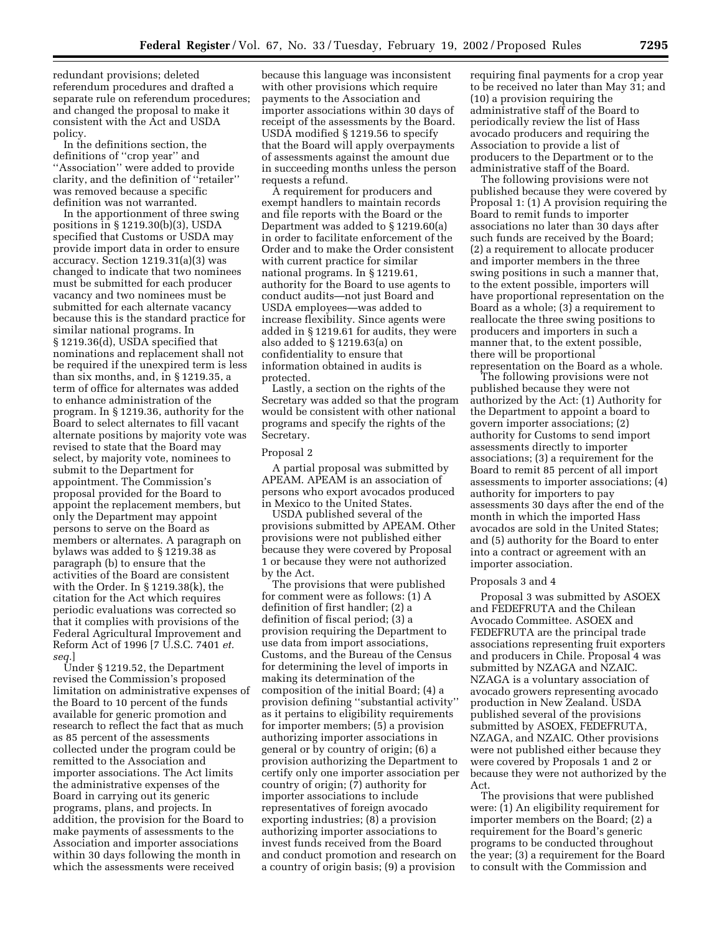redundant provisions; deleted referendum procedures and drafted a separate rule on referendum procedures; and changed the proposal to make it consistent with the Act and USDA policy.

In the definitions section, the definitions of ''crop year'' and ''Association'' were added to provide clarity, and the definition of "retailer" was removed because a specific definition was not warranted.

In the apportionment of three swing positions in § 1219.30(b)(3), USDA specified that Customs or USDA may provide import data in order to ensure accuracy. Section 1219.31(a)(3) was changed to indicate that two nominees must be submitted for each producer vacancy and two nominees must be submitted for each alternate vacancy because this is the standard practice for similar national programs. In § 1219.36(d), USDA specified that nominations and replacement shall not be required if the unexpired term is less than six months, and, in § 1219.35, a term of office for alternates was added to enhance administration of the program. In § 1219.36, authority for the Board to select alternates to fill vacant alternate positions by majority vote was revised to state that the Board may select, by majority vote, nominees to submit to the Department for appointment. The Commission's proposal provided for the Board to appoint the replacement members, but only the Department may appoint persons to serve on the Board as members or alternates. A paragraph on bylaws was added to § 1219.38 as paragraph (b) to ensure that the activities of the Board are consistent with the Order. In § 1219.38(k), the citation for the Act which requires periodic evaluations was corrected so that it complies with provisions of the Federal Agricultural Improvement and Reform Act of 1996 [7 U.S.C. 7401 *et. seq.*]

Under § 1219.52, the Department revised the Commission's proposed limitation on administrative expenses of the Board to 10 percent of the funds available for generic promotion and research to reflect the fact that as much as 85 percent of the assessments collected under the program could be remitted to the Association and importer associations. The Act limits the administrative expenses of the Board in carrying out its generic programs, plans, and projects. In addition, the provision for the Board to make payments of assessments to the Association and importer associations within 30 days following the month in which the assessments were received

because this language was inconsistent with other provisions which require payments to the Association and importer associations within 30 days of receipt of the assessments by the Board. USDA modified § 1219.56 to specify that the Board will apply overpayments of assessments against the amount due in succeeding months unless the person requests a refund.

A requirement for producers and exempt handlers to maintain records and file reports with the Board or the Department was added to § 1219.60(a) in order to facilitate enforcement of the Order and to make the Order consistent with current practice for similar national programs. In § 1219.61, authority for the Board to use agents to conduct audits—not just Board and USDA employees—was added to increase flexibility. Since agents were added in § 1219.61 for audits, they were also added to § 1219.63(a) on confidentiality to ensure that information obtained in audits is protected.

Lastly, a section on the rights of the Secretary was added so that the program would be consistent with other national programs and specify the rights of the Secretary.

#### Proposal 2

A partial proposal was submitted by APEAM. APEAM is an association of persons who export avocados produced in Mexico to the United States.

USDA published several of the provisions submitted by APEAM. Other provisions were not published either because they were covered by Proposal 1 or because they were not authorized by the Act.

The provisions that were published for comment were as follows: (1) A definition of first handler; (2) a definition of fiscal period; (3) a provision requiring the Department to use data from import associations, Customs, and the Bureau of the Census for determining the level of imports in making its determination of the composition of the initial Board; (4) a provision defining ''substantial activity'' as it pertains to eligibility requirements for importer members; (5) a provision authorizing importer associations in general or by country of origin; (6) a provision authorizing the Department to certify only one importer association per country of origin; (7) authority for importer associations to include representatives of foreign avocado exporting industries; (8) a provision authorizing importer associations to invest funds received from the Board and conduct promotion and research on a country of origin basis; (9) a provision

requiring final payments for a crop year to be received no later than May 31; and (10) a provision requiring the administrative staff of the Board to periodically review the list of Hass avocado producers and requiring the Association to provide a list of producers to the Department or to the administrative staff of the Board.

The following provisions were not published because they were covered by Proposal 1: (1) A provision requiring the Board to remit funds to importer associations no later than 30 days after such funds are received by the Board; (2) a requirement to allocate producer and importer members in the three swing positions in such a manner that, to the extent possible, importers will have proportional representation on the Board as a whole; (3) a requirement to reallocate the three swing positions to producers and importers in such a manner that, to the extent possible, there will be proportional representation on the Board as a whole.

The following provisions were not published because they were not authorized by the Act: (1) Authority for the Department to appoint a board to govern importer associations; (2) authority for Customs to send import assessments directly to importer associations; (3) a requirement for the Board to remit 85 percent of all import assessments to importer associations; (4) authority for importers to pay assessments 30 days after the end of the month in which the imported Hass avocados are sold in the United States; and (5) authority for the Board to enter into a contract or agreement with an importer association.

#### Proposals 3 and 4

Proposal 3 was submitted by ASOEX and FEDEFRUTA and the Chilean Avocado Committee. ASOEX and FEDEFRUTA are the principal trade associations representing fruit exporters and producers in Chile. Proposal 4 was submitted by NZAGA and NZAIC. NZAGA is a voluntary association of avocado growers representing avocado production in New Zealand. USDA published several of the provisions submitted by ASOEX, FEDEFRUTA, NZAGA, and NZAIC. Other provisions were not published either because they were covered by Proposals 1 and 2 or because they were not authorized by the Act.

The provisions that were published were: (1) An eligibility requirement for importer members on the Board; (2) a requirement for the Board's generic programs to be conducted throughout the year; (3) a requirement for the Board to consult with the Commission and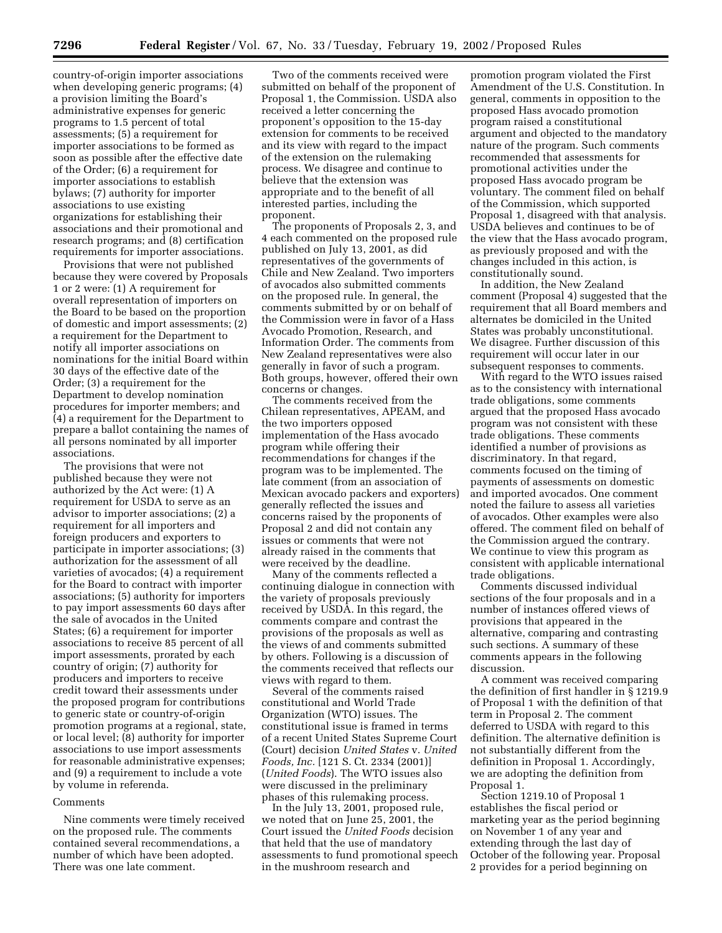country-of-origin importer associations when developing generic programs; (4) a provision limiting the Board's administrative expenses for generic programs to 1.5 percent of total assessments; (5) a requirement for importer associations to be formed as soon as possible after the effective date of the Order; (6) a requirement for importer associations to establish bylaws; (7) authority for importer associations to use existing organizations for establishing their associations and their promotional and research programs; and (8) certification requirements for importer associations.

Provisions that were not published because they were covered by Proposals 1 or 2 were: (1) A requirement for overall representation of importers on the Board to be based on the proportion of domestic and import assessments; (2) a requirement for the Department to notify all importer associations on nominations for the initial Board within 30 days of the effective date of the Order; (3) a requirement for the Department to develop nomination procedures for importer members; and (4) a requirement for the Department to prepare a ballot containing the names of all persons nominated by all importer associations.

The provisions that were not published because they were not authorized by the Act were: (1) A requirement for USDA to serve as an advisor to importer associations; (2) a requirement for all importers and foreign producers and exporters to participate in importer associations; (3) authorization for the assessment of all varieties of avocados; (4) a requirement for the Board to contract with importer associations; (5) authority for importers to pay import assessments 60 days after the sale of avocados in the United States; (6) a requirement for importer associations to receive 85 percent of all import assessments, prorated by each country of origin; (7) authority for producers and importers to receive credit toward their assessments under the proposed program for contributions to generic state or country-of-origin promotion programs at a regional, state, or local level; (8) authority for importer associations to use import assessments for reasonable administrative expenses; and (9) a requirement to include a vote by volume in referenda.

#### Comments

Nine comments were timely received on the proposed rule. The comments contained several recommendations, a number of which have been adopted. There was one late comment.

Two of the comments received were submitted on behalf of the proponent of Proposal 1, the Commission. USDA also received a letter concerning the proponent's opposition to the 15-day extension for comments to be received and its view with regard to the impact of the extension on the rulemaking process. We disagree and continue to believe that the extension was appropriate and to the benefit of all interested parties, including the proponent.

The proponents of Proposals 2, 3, and 4 each commented on the proposed rule published on July 13, 2001, as did representatives of the governments of Chile and New Zealand. Two importers of avocados also submitted comments on the proposed rule. In general, the comments submitted by or on behalf of the Commission were in favor of a Hass Avocado Promotion, Research, and Information Order. The comments from New Zealand representatives were also generally in favor of such a program. Both groups, however, offered their own concerns or changes.

The comments received from the Chilean representatives, APEAM, and the two importers opposed implementation of the Hass avocado program while offering their recommendations for changes if the program was to be implemented. The late comment (from an association of Mexican avocado packers and exporters) generally reflected the issues and concerns raised by the proponents of Proposal 2 and did not contain any issues or comments that were not already raised in the comments that were received by the deadline.

Many of the comments reflected a continuing dialogue in connection with the variety of proposals previously received by USDA. In this regard, the comments compare and contrast the provisions of the proposals as well as the views of and comments submitted by others. Following is a discussion of the comments received that reflects our views with regard to them.

Several of the comments raised constitutional and World Trade Organization (WTO) issues. The constitutional issue is framed in terms of a recent United States Supreme Court (Court) decision *United States* v. *United Foods, Inc.* [121 S. Ct. 2334 (2001)] (*United Foods*). The WTO issues also were discussed in the preliminary phases of this rulemaking process.

In the July 13, 2001, proposed rule, we noted that on June 25, 2001, the Court issued the *United Foods* decision that held that the use of mandatory assessments to fund promotional speech in the mushroom research and

promotion program violated the First Amendment of the U.S. Constitution. In general, comments in opposition to the proposed Hass avocado promotion program raised a constitutional argument and objected to the mandatory nature of the program. Such comments recommended that assessments for promotional activities under the proposed Hass avocado program be voluntary. The comment filed on behalf of the Commission, which supported Proposal 1, disagreed with that analysis. USDA believes and continues to be of the view that the Hass avocado program, as previously proposed and with the changes included in this action, is constitutionally sound.

In addition, the New Zealand comment (Proposal 4) suggested that the requirement that all Board members and alternates be domiciled in the United States was probably unconstitutional. We disagree. Further discussion of this requirement will occur later in our subsequent responses to comments.

With regard to the WTO issues raised as to the consistency with international trade obligations, some comments argued that the proposed Hass avocado program was not consistent with these trade obligations. These comments identified a number of provisions as discriminatory. In that regard, comments focused on the timing of payments of assessments on domestic and imported avocados. One comment noted the failure to assess all varieties of avocados. Other examples were also offered. The comment filed on behalf of the Commission argued the contrary. We continue to view this program as consistent with applicable international trade obligations.

Comments discussed individual sections of the four proposals and in a number of instances offered views of provisions that appeared in the alternative, comparing and contrasting such sections. A summary of these comments appears in the following discussion.

A comment was received comparing the definition of first handler in § 1219.9 of Proposal 1 with the definition of that term in Proposal 2. The comment deferred to USDA with regard to this definition. The alternative definition is not substantially different from the definition in Proposal 1. Accordingly, we are adopting the definition from Proposal 1.

Section 1219.10 of Proposal 1 establishes the fiscal period or marketing year as the period beginning on November 1 of any year and extending through the last day of October of the following year. Proposal 2 provides for a period beginning on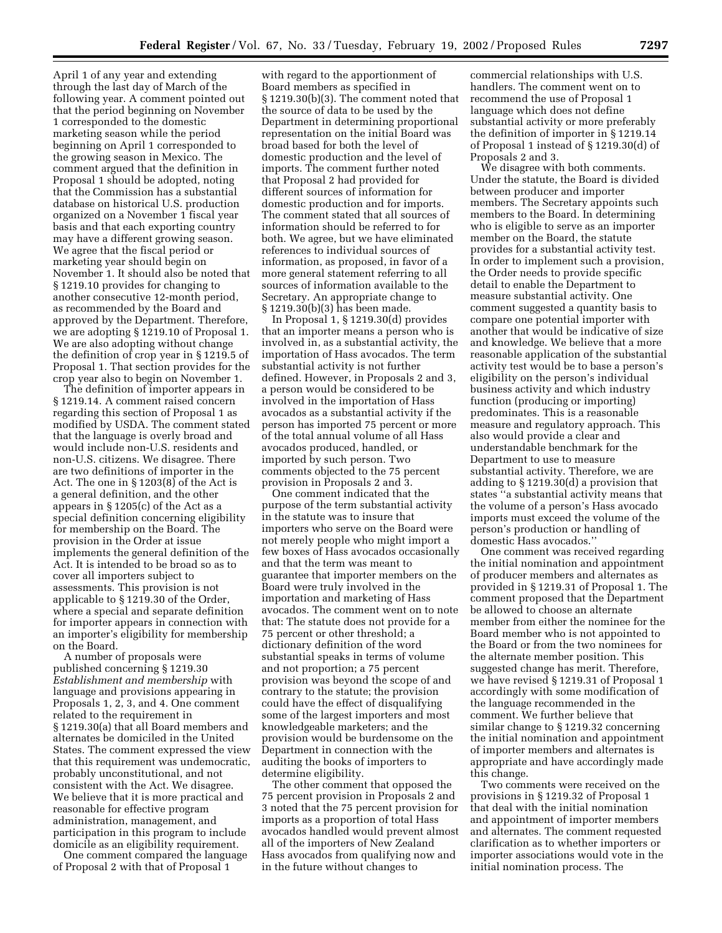April 1 of any year and extending through the last day of March of the following year. A comment pointed out that the period beginning on November 1 corresponded to the domestic marketing season while the period beginning on April 1 corresponded to the growing season in Mexico. The comment argued that the definition in Proposal 1 should be adopted, noting that the Commission has a substantial database on historical U.S. production organized on a November 1 fiscal year basis and that each exporting country may have a different growing season. We agree that the fiscal period or marketing year should begin on November 1. It should also be noted that § 1219.10 provides for changing to another consecutive 12-month period, as recommended by the Board and approved by the Department. Therefore, we are adopting § 1219.10 of Proposal 1. We are also adopting without change the definition of crop year in § 1219.5 of Proposal 1. That section provides for the crop year also to begin on November 1.

The definition of importer appears in § 1219.14. A comment raised concern regarding this section of Proposal 1 as modified by USDA. The comment stated that the language is overly broad and would include non-U.S. residents and non-U.S. citizens. We disagree. There are two definitions of importer in the Act. The one in § 1203(8) of the Act is a general definition, and the other appears in § 1205(c) of the Act as a special definition concerning eligibility for membership on the Board. The provision in the Order at issue implements the general definition of the Act. It is intended to be broad so as to cover all importers subject to assessments. This provision is not applicable to § 1219.30 of the Order, where a special and separate definition for importer appears in connection with an importer's eligibility for membership on the Board.

A number of proposals were published concerning § 1219.30 *Establishment and membership* with language and provisions appearing in Proposals 1, 2, 3, and 4. One comment related to the requirement in § 1219.30(a) that all Board members and alternates be domiciled in the United States. The comment expressed the view that this requirement was undemocratic, probably unconstitutional, and not consistent with the Act. We disagree. We believe that it is more practical and reasonable for effective program administration, management, and participation in this program to include domicile as an eligibility requirement.

One comment compared the language of Proposal 2 with that of Proposal 1

with regard to the apportionment of Board members as specified in § 1219.30(b)(3). The comment noted that the source of data to be used by the Department in determining proportional representation on the initial Board was broad based for both the level of domestic production and the level of imports. The comment further noted that Proposal 2 had provided for different sources of information for domestic production and for imports. The comment stated that all sources of information should be referred to for both. We agree, but we have eliminated references to individual sources of information, as proposed, in favor of a more general statement referring to all sources of information available to the Secretary. An appropriate change to § 1219.30(b)(3) has been made.

In Proposal 1, § 1219.30(d) provides that an importer means a person who is involved in, as a substantial activity, the importation of Hass avocados. The term substantial activity is not further defined. However, in Proposals 2 and 3, a person would be considered to be involved in the importation of Hass avocados as a substantial activity if the person has imported 75 percent or more of the total annual volume of all Hass avocados produced, handled, or imported by such person. Two comments objected to the 75 percent provision in Proposals 2 and 3.

One comment indicated that the purpose of the term substantial activity in the statute was to insure that importers who serve on the Board were not merely people who might import a few boxes of Hass avocados occasionally and that the term was meant to guarantee that importer members on the Board were truly involved in the importation and marketing of Hass avocados. The comment went on to note that: The statute does not provide for a 75 percent or other threshold; a dictionary definition of the word substantial speaks in terms of volume and not proportion; a 75 percent provision was beyond the scope of and contrary to the statute; the provision could have the effect of disqualifying some of the largest importers and most knowledgeable marketers; and the provision would be burdensome on the Department in connection with the auditing the books of importers to determine eligibility.

The other comment that opposed the 75 percent provision in Proposals 2 and 3 noted that the 75 percent provision for imports as a proportion of total Hass avocados handled would prevent almost all of the importers of New Zealand Hass avocados from qualifying now and in the future without changes to

commercial relationships with U.S. handlers. The comment went on to recommend the use of Proposal 1 language which does not define substantial activity or more preferably the definition of importer in § 1219.14 of Proposal 1 instead of § 1219.30(d) of Proposals 2 and 3.

We disagree with both comments. Under the statute, the Board is divided between producer and importer members. The Secretary appoints such members to the Board. In determining who is eligible to serve as an importer member on the Board, the statute provides for a substantial activity test. In order to implement such a provision, the Order needs to provide specific detail to enable the Department to measure substantial activity. One comment suggested a quantity basis to compare one potential importer with another that would be indicative of size and knowledge. We believe that a more reasonable application of the substantial activity test would be to base a person's eligibility on the person's individual business activity and which industry function (producing or importing) predominates. This is a reasonable measure and regulatory approach. This also would provide a clear and understandable benchmark for the Department to use to measure substantial activity. Therefore, we are adding to § 1219.30(d) a provision that states ''a substantial activity means that the volume of a person's Hass avocado imports must exceed the volume of the person's production or handling of domestic Hass avocados.''

One comment was received regarding the initial nomination and appointment of producer members and alternates as provided in § 1219.31 of Proposal 1. The comment proposed that the Department be allowed to choose an alternate member from either the nominee for the Board member who is not appointed to the Board or from the two nominees for the alternate member position. This suggested change has merit. Therefore, we have revised § 1219.31 of Proposal 1 accordingly with some modification of the language recommended in the comment. We further believe that similar change to § 1219.32 concerning the initial nomination and appointment of importer members and alternates is appropriate and have accordingly made this change.

Two comments were received on the provisions in § 1219.32 of Proposal 1 that deal with the initial nomination and appointment of importer members and alternates. The comment requested clarification as to whether importers or importer associations would vote in the initial nomination process. The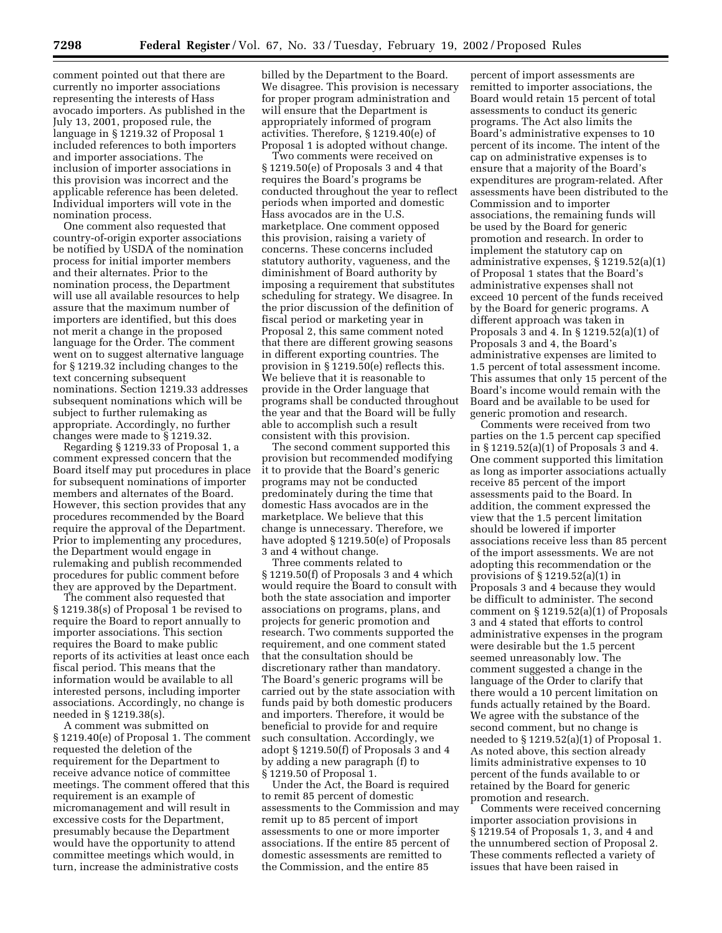comment pointed out that there are currently no importer associations representing the interests of Hass avocado importers. As published in the July 13, 2001, proposed rule, the language in § 1219.32 of Proposal 1 included references to both importers and importer associations. The inclusion of importer associations in this provision was incorrect and the applicable reference has been deleted. Individual importers will vote in the nomination process.

One comment also requested that country-of-origin exporter associations be notified by USDA of the nomination process for initial importer members and their alternates. Prior to the nomination process, the Department will use all available resources to help assure that the maximum number of importers are identified, but this does not merit a change in the proposed language for the Order. The comment went on to suggest alternative language for § 1219.32 including changes to the text concerning subsequent nominations. Section 1219.33 addresses subsequent nominations which will be subject to further rulemaking as appropriate. Accordingly, no further changes were made to § 1219.32.

Regarding § 1219.33 of Proposal 1, a comment expressed concern that the Board itself may put procedures in place for subsequent nominations of importer members and alternates of the Board. However, this section provides that any procedures recommended by the Board require the approval of the Department. Prior to implementing any procedures, the Department would engage in rulemaking and publish recommended procedures for public comment before they are approved by the Department.

The comment also requested that § 1219.38(s) of Proposal 1 be revised to require the Board to report annually to importer associations. This section requires the Board to make public reports of its activities at least once each fiscal period. This means that the information would be available to all interested persons, including importer associations. Accordingly, no change is needed in § 1219.38(s).

A comment was submitted on § 1219.40(e) of Proposal 1. The comment requested the deletion of the requirement for the Department to receive advance notice of committee meetings. The comment offered that this requirement is an example of micromanagement and will result in excessive costs for the Department, presumably because the Department would have the opportunity to attend committee meetings which would, in turn, increase the administrative costs

billed by the Department to the Board. We disagree. This provision is necessary for proper program administration and will ensure that the Department is appropriately informed of program activities. Therefore, § 1219.40(e) of Proposal 1 is adopted without change.

Two comments were received on § 1219.50(e) of Proposals 3 and 4 that requires the Board's programs be conducted throughout the year to reflect periods when imported and domestic Hass avocados are in the U.S. marketplace. One comment opposed this provision, raising a variety of concerns. These concerns included statutory authority, vagueness, and the diminishment of Board authority by imposing a requirement that substitutes scheduling for strategy. We disagree. In the prior discussion of the definition of fiscal period or marketing year in Proposal 2, this same comment noted that there are different growing seasons in different exporting countries. The provision in § 1219.50(e) reflects this. We believe that it is reasonable to provide in the Order language that programs shall be conducted throughout the year and that the Board will be fully able to accomplish such a result consistent with this provision.

The second comment supported this provision but recommended modifying it to provide that the Board's generic programs may not be conducted predominately during the time that domestic Hass avocados are in the marketplace. We believe that this change is unnecessary. Therefore, we have adopted § 1219.50(e) of Proposals 3 and 4 without change.

Three comments related to § 1219.50(f) of Proposals 3 and 4 which would require the Board to consult with both the state association and importer associations on programs, plans, and projects for generic promotion and research. Two comments supported the requirement, and one comment stated that the consultation should be discretionary rather than mandatory. The Board's generic programs will be carried out by the state association with funds paid by both domestic producers and importers. Therefore, it would be beneficial to provide for and require such consultation. Accordingly, we adopt § 1219.50(f) of Proposals 3 and 4 by adding a new paragraph (f) to § 1219.50 of Proposal 1.

Under the Act, the Board is required to remit 85 percent of domestic assessments to the Commission and may remit up to 85 percent of import assessments to one or more importer associations. If the entire 85 percent of domestic assessments are remitted to the Commission, and the entire 85

percent of import assessments are remitted to importer associations, the Board would retain 15 percent of total assessments to conduct its generic programs. The Act also limits the Board's administrative expenses to 10 percent of its income. The intent of the cap on administrative expenses is to ensure that a majority of the Board's expenditures are program-related. After assessments have been distributed to the Commission and to importer associations, the remaining funds will be used by the Board for generic promotion and research. In order to implement the statutory cap on administrative expenses, § 1219.52(a)(1) of Proposal 1 states that the Board's administrative expenses shall not exceed 10 percent of the funds received by the Board for generic programs. A different approach was taken in Proposals 3 and 4. In § 1219.52(a)(1) of Proposals 3 and 4, the Board's administrative expenses are limited to 1.5 percent of total assessment income. This assumes that only 15 percent of the Board's income would remain with the Board and be available to be used for generic promotion and research.

Comments were received from two parties on the 1.5 percent cap specified in § 1219.52(a)(1) of Proposals 3 and 4. One comment supported this limitation as long as importer associations actually receive 85 percent of the import assessments paid to the Board. In addition, the comment expressed the view that the 1.5 percent limitation should be lowered if importer associations receive less than 85 percent of the import assessments. We are not adopting this recommendation or the provisions of § 1219.52(a)(1) in Proposals 3 and 4 because they would be difficult to administer. The second comment on § 1219.52(a)(1) of Proposals 3 and 4 stated that efforts to control administrative expenses in the program were desirable but the 1.5 percent seemed unreasonably low. The comment suggested a change in the language of the Order to clarify that there would a 10 percent limitation on funds actually retained by the Board. We agree with the substance of the second comment, but no change is needed to § 1219.52(a)(1) of Proposal 1. As noted above, this section already limits administrative expenses to 10 percent of the funds available to or retained by the Board for generic promotion and research.

Comments were received concerning importer association provisions in § 1219.54 of Proposals 1, 3, and 4 and the unnumbered section of Proposal 2. These comments reflected a variety of issues that have been raised in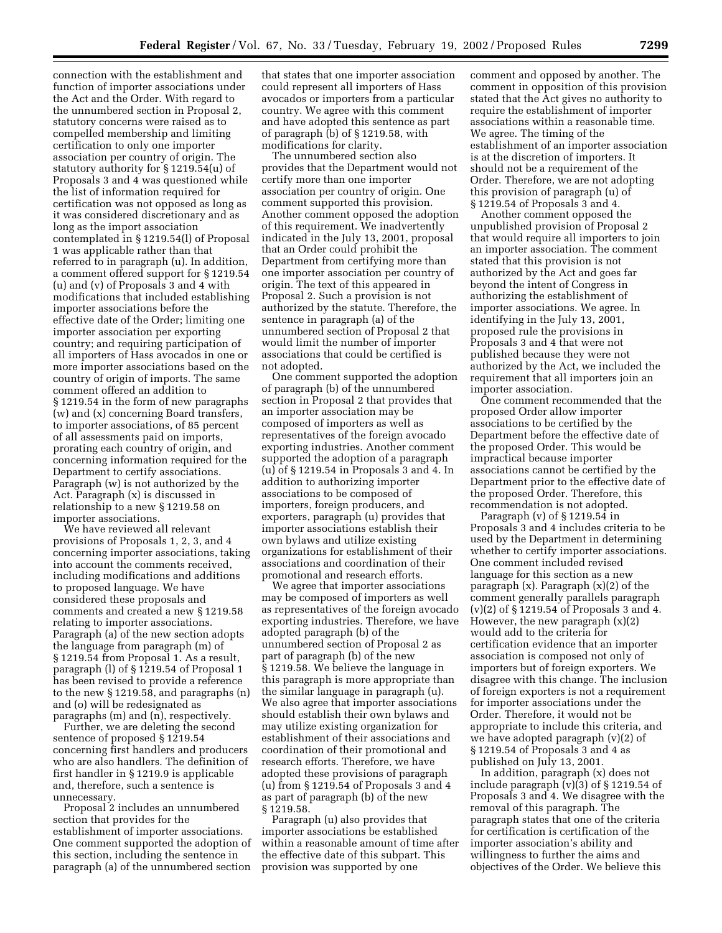connection with the establishment and function of importer associations under the Act and the Order. With regard to the unnumbered section in Proposal 2, statutory concerns were raised as to compelled membership and limiting certification to only one importer association per country of origin. The statutory authority for § 1219.54(u) of Proposals 3 and 4 was questioned while the list of information required for certification was not opposed as long as it was considered discretionary and as long as the import association contemplated in § 1219.54(l) of Proposal 1 was applicable rather than that referred to in paragraph (u). In addition, a comment offered support for § 1219.54 (u) and (v) of Proposals 3 and 4 with modifications that included establishing importer associations before the effective date of the Order; limiting one importer association per exporting country; and requiring participation of all importers of Hass avocados in one or more importer associations based on the country of origin of imports. The same comment offered an addition to § 1219.54 in the form of new paragraphs (w) and (x) concerning Board transfers, to importer associations, of 85 percent of all assessments paid on imports, prorating each country of origin, and concerning information required for the Department to certify associations. Paragraph (w) is not authorized by the Act. Paragraph (x) is discussed in relationship to a new § 1219.58 on importer associations.

We have reviewed all relevant provisions of Proposals 1, 2, 3, and 4 concerning importer associations, taking into account the comments received, including modifications and additions to proposed language. We have considered these proposals and comments and created a new § 1219.58 relating to importer associations. Paragraph (a) of the new section adopts the language from paragraph (m) of § 1219.54 from Proposal 1. As a result, paragraph (l) of § 1219.54 of Proposal 1 has been revised to provide a reference to the new § 1219.58, and paragraphs (n) and (o) will be redesignated as paragraphs (m) and (n), respectively.

Further, we are deleting the second sentence of proposed § 1219.54 concerning first handlers and producers who are also handlers. The definition of first handler in § 1219.9 is applicable and, therefore, such a sentence is unnecessary.

Proposal 2 includes an unnumbered section that provides for the establishment of importer associations. One comment supported the adoption of this section, including the sentence in paragraph (a) of the unnumbered section

that states that one importer association could represent all importers of Hass avocados or importers from a particular country. We agree with this comment and have adopted this sentence as part of paragraph (b) of § 1219.58, with modifications for clarity.

The unnumbered section also provides that the Department would not certify more than one importer association per country of origin. One comment supported this provision. Another comment opposed the adoption of this requirement. We inadvertently indicated in the July 13, 2001, proposal that an Order could prohibit the Department from certifying more than one importer association per country of origin. The text of this appeared in Proposal 2. Such a provision is not authorized by the statute. Therefore, the sentence in paragraph (a) of the unnumbered section of Proposal 2 that would limit the number of importer associations that could be certified is not adopted.

One comment supported the adoption of paragraph (b) of the unnumbered section in Proposal 2 that provides that an importer association may be composed of importers as well as representatives of the foreign avocado exporting industries. Another comment supported the adoption of a paragraph (u) of § 1219.54 in Proposals 3 and 4. In addition to authorizing importer associations to be composed of importers, foreign producers, and exporters, paragraph (u) provides that importer associations establish their own bylaws and utilize existing organizations for establishment of their associations and coordination of their promotional and research efforts.

We agree that importer associations may be composed of importers as well as representatives of the foreign avocado exporting industries. Therefore, we have adopted paragraph (b) of the unnumbered section of Proposal 2 as part of paragraph (b) of the new § 1219.58. We believe the language in this paragraph is more appropriate than the similar language in paragraph (u). We also agree that importer associations should establish their own bylaws and may utilize existing organization for establishment of their associations and coordination of their promotional and research efforts. Therefore, we have adopted these provisions of paragraph (u) from § 1219.54 of Proposals 3 and 4 as part of paragraph (b) of the new § 1219.58.

Paragraph (u) also provides that importer associations be established within a reasonable amount of time after the effective date of this subpart. This provision was supported by one

comment and opposed by another. The comment in opposition of this provision stated that the Act gives no authority to require the establishment of importer associations within a reasonable time. We agree. The timing of the establishment of an importer association is at the discretion of importers. It should not be a requirement of the Order. Therefore, we are not adopting this provision of paragraph (u) of § 1219.54 of Proposals 3 and 4.

Another comment opposed the unpublished provision of Proposal 2 that would require all importers to join an importer association. The comment stated that this provision is not authorized by the Act and goes far beyond the intent of Congress in authorizing the establishment of importer associations. We agree. In identifying in the July 13, 2001, proposed rule the provisions in Proposals 3 and 4 that were not published because they were not authorized by the Act, we included the requirement that all importers join an importer association.

One comment recommended that the proposed Order allow importer associations to be certified by the Department before the effective date of the proposed Order. This would be impractical because importer associations cannot be certified by the Department prior to the effective date of the proposed Order. Therefore, this recommendation is not adopted.

Paragraph (v) of  $\S 1219.54$  in Proposals 3 and 4 includes criteria to be used by the Department in determining whether to certify importer associations. One comment included revised language for this section as a new paragraph  $(x)$ . Paragraph  $(x)(2)$  of the comment generally parallels paragraph (v)(2) of § 1219.54 of Proposals 3 and 4. However, the new paragraph  $(x)(2)$ would add to the criteria for certification evidence that an importer association is composed not only of importers but of foreign exporters. We disagree with this change. The inclusion of foreign exporters is not a requirement for importer associations under the Order. Therefore, it would not be appropriate to include this criteria, and we have adopted paragraph (v)(2) of § 1219.54 of Proposals 3 and 4 as published on July 13, 2001.

In addition, paragraph (x) does not include paragraph (v)(3) of § 1219.54 of Proposals 3 and 4. We disagree with the removal of this paragraph. The paragraph states that one of the criteria for certification is certification of the importer association's ability and willingness to further the aims and objectives of the Order. We believe this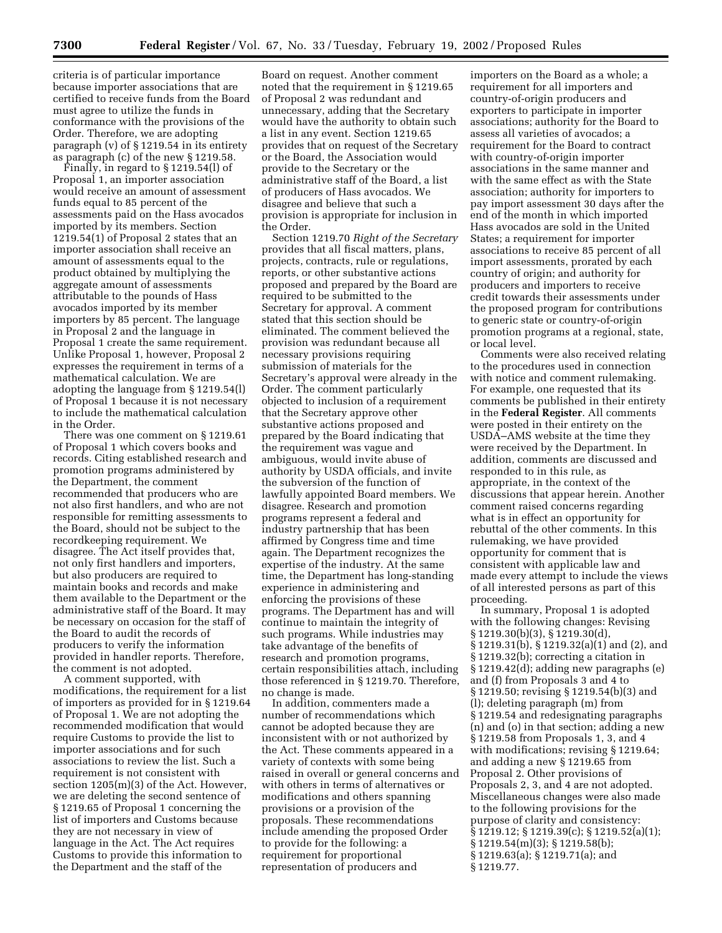criteria is of particular importance because importer associations that are certified to receive funds from the Board must agree to utilize the funds in conformance with the provisions of the Order. Therefore, we are adopting paragraph (v) of § 1219.54 in its entirety as paragraph (c) of the new § 1219.58.

Finally, in regard to § 1219.54(l) of Proposal 1, an importer association would receive an amount of assessment funds equal to 85 percent of the assessments paid on the Hass avocados imported by its members. Section 1219.54(1) of Proposal 2 states that an importer association shall receive an amount of assessments equal to the product obtained by multiplying the aggregate amount of assessments attributable to the pounds of Hass avocados imported by its member importers by 85 percent. The language in Proposal 2 and the language in Proposal 1 create the same requirement. Unlike Proposal 1, however, Proposal 2 expresses the requirement in terms of a mathematical calculation. We are adopting the language from § 1219.54(l) of Proposal 1 because it is not necessary to include the mathematical calculation in the Order.

There was one comment on § 1219.61 of Proposal 1 which covers books and records. Citing established research and promotion programs administered by the Department, the comment recommended that producers who are not also first handlers, and who are not responsible for remitting assessments to the Board, should not be subject to the recordkeeping requirement. We disagree. The Act itself provides that, not only first handlers and importers, but also producers are required to maintain books and records and make them available to the Department or the administrative staff of the Board. It may be necessary on occasion for the staff of the Board to audit the records of producers to verify the information provided in handler reports. Therefore, the comment is not adopted.

A comment supported, with modifications, the requirement for a list of importers as provided for in § 1219.64 of Proposal 1. We are not adopting the recommended modification that would require Customs to provide the list to importer associations and for such associations to review the list. Such a requirement is not consistent with section 1205(m)(3) of the Act. However, we are deleting the second sentence of § 1219.65 of Proposal 1 concerning the list of importers and Customs because they are not necessary in view of language in the Act. The Act requires Customs to provide this information to the Department and the staff of the

Board on request. Another comment noted that the requirement in § 1219.65 of Proposal 2 was redundant and unnecessary, adding that the Secretary would have the authority to obtain such a list in any event. Section 1219.65 provides that on request of the Secretary or the Board, the Association would provide to the Secretary or the administrative staff of the Board, a list of producers of Hass avocados. We disagree and believe that such a provision is appropriate for inclusion in the Order.

Section 1219.70 *Right of the Secretary* provides that all fiscal matters, plans, projects, contracts, rule or regulations, reports, or other substantive actions proposed and prepared by the Board are required to be submitted to the Secretary for approval. A comment stated that this section should be eliminated. The comment believed the provision was redundant because all necessary provisions requiring submission of materials for the Secretary's approval were already in the Order. The comment particularly objected to inclusion of a requirement that the Secretary approve other substantive actions proposed and prepared by the Board indicating that the requirement was vague and ambiguous, would invite abuse of authority by USDA officials, and invite the subversion of the function of lawfully appointed Board members. We disagree. Research and promotion programs represent a federal and industry partnership that has been affirmed by Congress time and time again. The Department recognizes the expertise of the industry. At the same time, the Department has long-standing experience in administering and enforcing the provisions of these programs. The Department has and will continue to maintain the integrity of such programs. While industries may take advantage of the benefits of research and promotion programs, certain responsibilities attach, including those referenced in § 1219.70. Therefore, no change is made.

In addition, commenters made a number of recommendations which cannot be adopted because they are inconsistent with or not authorized by the Act. These comments appeared in a variety of contexts with some being raised in overall or general concerns and with others in terms of alternatives or modifications and others spanning provisions or a provision of the proposals. These recommendations include amending the proposed Order to provide for the following: a requirement for proportional representation of producers and

importers on the Board as a whole; a requirement for all importers and country-of-origin producers and exporters to participate in importer associations; authority for the Board to assess all varieties of avocados; a requirement for the Board to contract with country-of-origin importer associations in the same manner and with the same effect as with the State association; authority for importers to pay import assessment 30 days after the end of the month in which imported Hass avocados are sold in the United States; a requirement for importer associations to receive 85 percent of all import assessments, prorated by each country of origin; and authority for producers and importers to receive credit towards their assessments under the proposed program for contributions to generic state or country-of-origin promotion programs at a regional, state, or local level.

Comments were also received relating to the procedures used in connection with notice and comment rulemaking. For example, one requested that its comments be published in their entirety in the **Federal Register**. All comments were posted in their entirety on the USDA–AMS website at the time they were received by the Department. In addition, comments are discussed and responded to in this rule, as appropriate, in the context of the discussions that appear herein. Another comment raised concerns regarding what is in effect an opportunity for rebuttal of the other comments. In this rulemaking, we have provided opportunity for comment that is consistent with applicable law and made every attempt to include the views of all interested persons as part of this proceeding.

In summary, Proposal 1 is adopted with the following changes: Revising § 1219.30(b)(3), § 1219.30(d), § 1219.31(b), § 1219.32(a)(1) and (2), and § 1219.32(b); correcting a citation in § 1219.42(d); adding new paragraphs (e) and (f) from Proposals 3 and 4 to § 1219.50; revising § 1219.54(b)(3) and (l); deleting paragraph (m) from § 1219.54 and redesignating paragraphs (n) and (o) in that section; adding a new § 1219.58 from Proposals 1, 3, and 4 with modifications; revising § 1219.64; and adding a new § 1219.65 from Proposal 2. Other provisions of Proposals 2, 3, and 4 are not adopted. Miscellaneous changes were also made to the following provisions for the purpose of clarity and consistency: § 1219.12; § 1219.39(c); § 1219.52(a)(1); § 1219.54(m)(3); § 1219.58(b); § 1219.63(a); § 1219.71(a); and § 1219.77.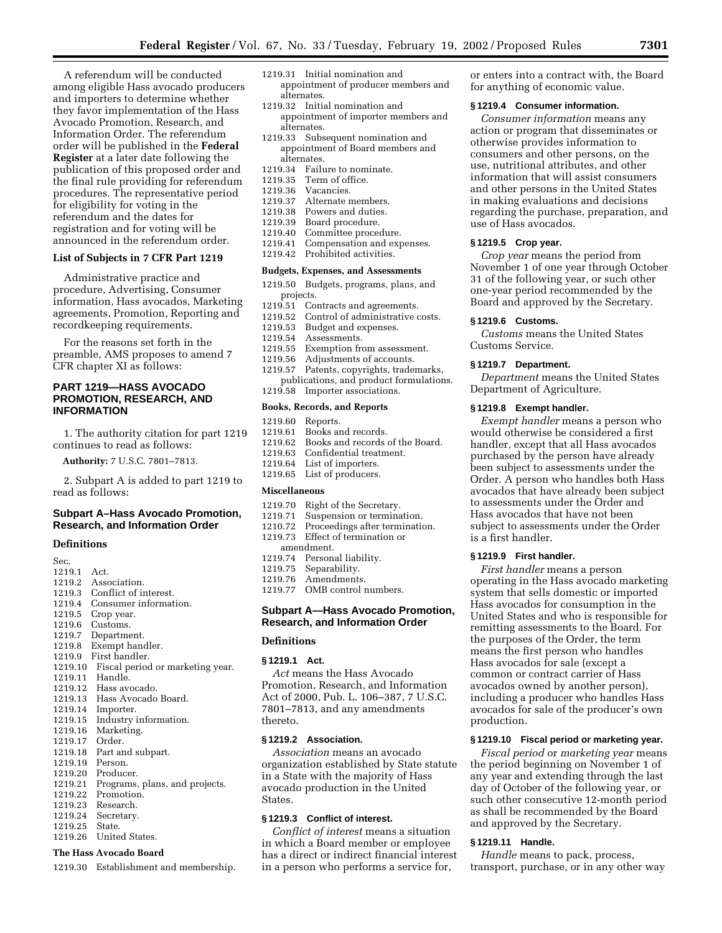A referendum will be conducted among eligible Hass avocado producers and importers to determine whether they favor implementation of the Hass Avocado Promotion, Research, and Information Order. The referendum order will be published in the **Federal Register** at a later date following the publication of this proposed order and the final rule providing for referendum procedures. The representative period for eligibility for voting in the referendum and the dates for registration and for voting will be announced in the referendum order.

## **List of Subjects in 7 CFR Part 1219**

Administrative practice and procedure, Advertising, Consumer information, Hass avocados, Marketing agreements, Promotion, Reporting and recordkeeping requirements.

For the reasons set forth in the preamble, AMS proposes to amend 7 CFR chapter XI as follows:

## **PART 1219—HASS AVOCADO PROMOTION, RESEARCH, AND INFORMATION**

1. The authority citation for part 1219 continues to read as follows:

**Authority:** 7 U.S.C. 7801–7813.

2. Subpart A is added to part 1219 to read as follows:

## **Subpart A–Hass Avocado Promotion, Research, and Information Order**

#### **Definitions**

| Sec.    |                                  |
|---------|----------------------------------|
| 1219.1  | Act.                             |
| 1219.2  | Association.                     |
| 1219.3  | Conflict of interest.            |
| 1219.4  | Consumer information.            |
| 1219.5  | Crop year.                       |
| 1219.6  | Customs.                         |
| 1219.7  | Department.                      |
| 1219.8  | Exempt handler.                  |
| 1219.9  | First handler.                   |
| 1219.10 | Fiscal period or marketing year. |
| 1219.11 | Handle.                          |
| 1219.12 | Hass avocado.                    |
| 1219.13 | Hass Avocado Board.              |
| 1219.14 | Importer.                        |
| 1219.15 | Industry information.            |
| 1219.16 | Marketing.                       |
| 1219.17 | Order.                           |
| 1219.18 | Part and subpart.                |
| 1219.19 | Person.                          |
| 1219.20 | Producer.                        |
| 1219.21 | Programs, plans, and projects.   |
| 1219.22 | Promotion.                       |
| 1219.23 | Research.                        |
| 1219.24 | Secretary.                       |
| 1219.25 | State.                           |
| 1219.26 | United States.                   |

## **The Hass Avocado Board**

1219.30 Establishment and membership.

- 1219.31 Initial nomination and appointment of producer members and alternates.
- 1219.32 Initial nomination and appointment of importer members and alternates.
- 1219.33 Subsequent nomination and appointment of Board members and alternates.
- 1219.34 Failure to nominate.<br>1219.35 Term of office.
- Term of office.
- 1219.36 Vacancies.
- 
- 1219.37 Alternate members.<br>1219.38 Powers and duties. Powers and duties.
- 1219.39 Board procedure.
- 1219.40 Committee procedure.
- 1219.41 Compensation and expenses.
- 1219.42 Prohibited activities.

#### **Budgets, Expenses, and Assessments**

- 1219.50 Budgets, programs, plans, and projects.
- 1219.51 Contracts and agreements.<br>1219.52 Control of administrative
- Control of administrative costs.
- 1219.53 Budget and expenses.
- 1219.54 Assessments.<br>1219.55 Exemption fro
- Exemption from assessment.
- 1219.56 Adjustments of accounts.
- 1219.57 Patents, copyrights, trademarks, publications, and product formulations. 1219.58 Importer associations.

#### **Books, Records, and Reports**

- 
- 1219.60 Reports. Books and records.
- 1219.62 Books and records of the Board.
- 1219.63 Confidential treatment.<br>1219.64 List of importers.
	- List of importers.
- 1219.65 List of producers.

#### **Miscellaneous**

- 1219.70 Right of the Secretary.
- 1219.71 Suspension or termination.
- 1210.72 Proceedings after termination.
- 1219.73 Effect of termination or
- amendment. 1219.74 Personal liability.
- 
- 1219.75 Separability. 1219.76 Amendments.
- 1219.77 OMB control numbers.

## **Subpart A—Hass Avocado Promotion, Research, and Information Order**

#### **§ 1219.1 Act.**

*Act* means the Hass Avocado Promotion, Research, and Information Act of 2000, Pub. L. 106–387, 7 U.S.C. 7801–7813, and any amendments thereto.

## **§ 1219.2 Association.**

*Association* means an avocado organization established by State statute in a State with the majority of Hass avocado production in the United States.

### **§ 1219.3 Conflict of interest.**

*Conflict of interest* means a situation in which a Board member or employee has a direct or indirect financial interest in a person who performs a service for,

or enters into a contract with, the Board for anything of economic value.

#### **§ 1219.4 Consumer information.**

*Consumer information* means any action or program that disseminates or otherwise provides information to consumers and other persons, on the use, nutritional attributes, and other information that will assist consumers and other persons in the United States in making evaluations and decisions regarding the purchase, preparation, and use of Hass avocados.

## **§ 1219.5 Crop year.**

*Crop year* means the period from November 1 of one year through October 31 of the following year, or such other one-year period recommended by the Board and approved by the Secretary.

## **§ 1219.6 Customs.**

*Customs* means the United States Customs Service.

#### **§ 1219.7 Department.**

*Department* means the United States Department of Agriculture.

## **§ 1219.8 Exempt handler.**

*Exempt handler* means a person who would otherwise be considered a first handler, except that all Hass avocados purchased by the person have already been subject to assessments under the Order. A person who handles both Hass avocados that have already been subject to assessments under the Order and Hass avocados that have not been subject to assessments under the Order is a first handler.

## **§ 1219.9 First handler.**

*First handler* means a person operating in the Hass avocado marketing system that sells domestic or imported Hass avocados for consumption in the United States and who is responsible for remitting assessments to the Board. For the purposes of the Order, the term means the first person who handles Hass avocados for sale (except a common or contract carrier of Hass avocados owned by another person), including a producer who handles Hass avocados for sale of the producer's own production.

#### **§ 1219.10 Fiscal period or marketing year.**

*Fiscal period* or *marketing year* means the period beginning on November 1 of any year and extending through the last day of October of the following year, or such other consecutive 12-month period as shall be recommended by the Board and approved by the Secretary.

## **§ 1219.11 Handle.**

*Handle* means to pack, process, transport, purchase, or in any other way

**Definitions**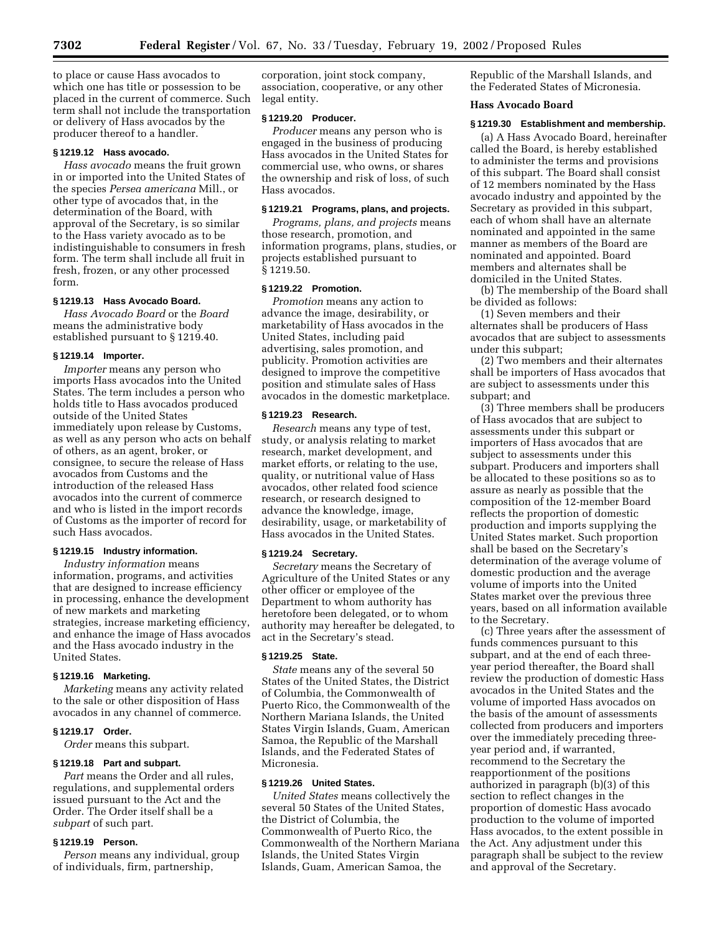to place or cause Hass avocados to which one has title or possession to be placed in the current of commerce. Such term shall not include the transportation or delivery of Hass avocados by the producer thereof to a handler.

## **§ 1219.12 Hass avocado.**

*Hass avocado* means the fruit grown in or imported into the United States of the species *Persea americana* Mill., or other type of avocados that, in the determination of the Board, with approval of the Secretary, is so similar to the Hass variety avocado as to be indistinguishable to consumers in fresh form. The term shall include all fruit in fresh, frozen, or any other processed form.

#### **§ 1219.13 Hass Avocado Board.**

*Hass Avocado Board* or the *Board* means the administrative body established pursuant to § 1219.40.

#### **§ 1219.14 Importer.**

*Importer* means any person who imports Hass avocados into the United States. The term includes a person who holds title to Hass avocados produced outside of the United States immediately upon release by Customs, as well as any person who acts on behalf of others, as an agent, broker, or consignee, to secure the release of Hass avocados from Customs and the introduction of the released Hass avocados into the current of commerce and who is listed in the import records of Customs as the importer of record for such Hass avocados.

## **§ 1219.15 Industry information.**

*Industry information* means information, programs, and activities that are designed to increase efficiency in processing, enhance the development of new markets and marketing strategies, increase marketing efficiency, and enhance the image of Hass avocados and the Hass avocado industry in the United States.

#### **§ 1219.16 Marketing.**

*Marketing* means any activity related to the sale or other disposition of Hass avocados in any channel of commerce.

# **§ 1219.17 Order.**

*Order* means this subpart.

## **§ 1219.18 Part and subpart.**

*Part* means the Order and all rules, regulations, and supplemental orders issued pursuant to the Act and the Order. The Order itself shall be a *subpart* of such part.

## **§ 1219.19 Person.**

*Person* means any individual, group of individuals, firm, partnership,

corporation, joint stock company, association, cooperative, or any other legal entity.

## **§ 1219.20 Producer.**

*Producer* means any person who is engaged in the business of producing Hass avocados in the United States for commercial use, who owns, or shares the ownership and risk of loss, of such Hass avocados.

#### **§ 1219.21 Programs, plans, and projects.**

*Programs, plans, and projects* means those research, promotion, and information programs, plans, studies, or projects established pursuant to § 1219.50.

#### **§ 1219.22 Promotion.**

*Promotion* means any action to advance the image, desirability, or marketability of Hass avocados in the United States, including paid advertising, sales promotion, and publicity. Promotion activities are designed to improve the competitive position and stimulate sales of Hass avocados in the domestic marketplace.

#### **§ 1219.23 Research.**

*Research* means any type of test, study, or analysis relating to market research, market development, and market efforts, or relating to the use, quality, or nutritional value of Hass avocados, other related food science research, or research designed to advance the knowledge, image, desirability, usage, or marketability of Hass avocados in the United States.

#### **§ 1219.24 Secretary.**

*Secretary* means the Secretary of Agriculture of the United States or any other officer or employee of the Department to whom authority has heretofore been delegated, or to whom authority may hereafter be delegated, to act in the Secretary's stead.

#### **§ 1219.25 State.**

*State* means any of the several 50 States of the United States, the District of Columbia, the Commonwealth of Puerto Rico, the Commonwealth of the Northern Mariana Islands, the United States Virgin Islands, Guam, American Samoa, the Republic of the Marshall Islands, and the Federated States of Micronesia.

## **§ 1219.26 United States.**

*United States* means collectively the several 50 States of the United States, the District of Columbia, the Commonwealth of Puerto Rico, the Commonwealth of the Northern Mariana Islands, the United States Virgin Islands, Guam, American Samoa, the

Republic of the Marshall Islands, and the Federated States of Micronesia.

## **Hass Avocado Board**

## **§ 1219.30 Establishment and membership.**

(a) A Hass Avocado Board, hereinafter called the Board, is hereby established to administer the terms and provisions of this subpart. The Board shall consist of 12 members nominated by the Hass avocado industry and appointed by the Secretary as provided in this subpart, each of whom shall have an alternate nominated and appointed in the same manner as members of the Board are nominated and appointed. Board members and alternates shall be domiciled in the United States.

(b) The membership of the Board shall be divided as follows:

(1) Seven members and their alternates shall be producers of Hass avocados that are subject to assessments under this subpart;

(2) Two members and their alternates shall be importers of Hass avocados that are subject to assessments under this subpart; and

(3) Three members shall be producers of Hass avocados that are subject to assessments under this subpart or importers of Hass avocados that are subject to assessments under this subpart. Producers and importers shall be allocated to these positions so as to assure as nearly as possible that the composition of the 12-member Board reflects the proportion of domestic production and imports supplying the United States market. Such proportion shall be based on the Secretary's determination of the average volume of domestic production and the average volume of imports into the United States market over the previous three years, based on all information available to the Secretary.

(c) Three years after the assessment of funds commences pursuant to this subpart, and at the end of each threeyear period thereafter, the Board shall review the production of domestic Hass avocados in the United States and the volume of imported Hass avocados on the basis of the amount of assessments collected from producers and importers over the immediately preceding threeyear period and, if warranted, recommend to the Secretary the reapportionment of the positions authorized in paragraph (b)(3) of this section to reflect changes in the proportion of domestic Hass avocado production to the volume of imported Hass avocados, to the extent possible in the Act. Any adjustment under this paragraph shall be subject to the review and approval of the Secretary.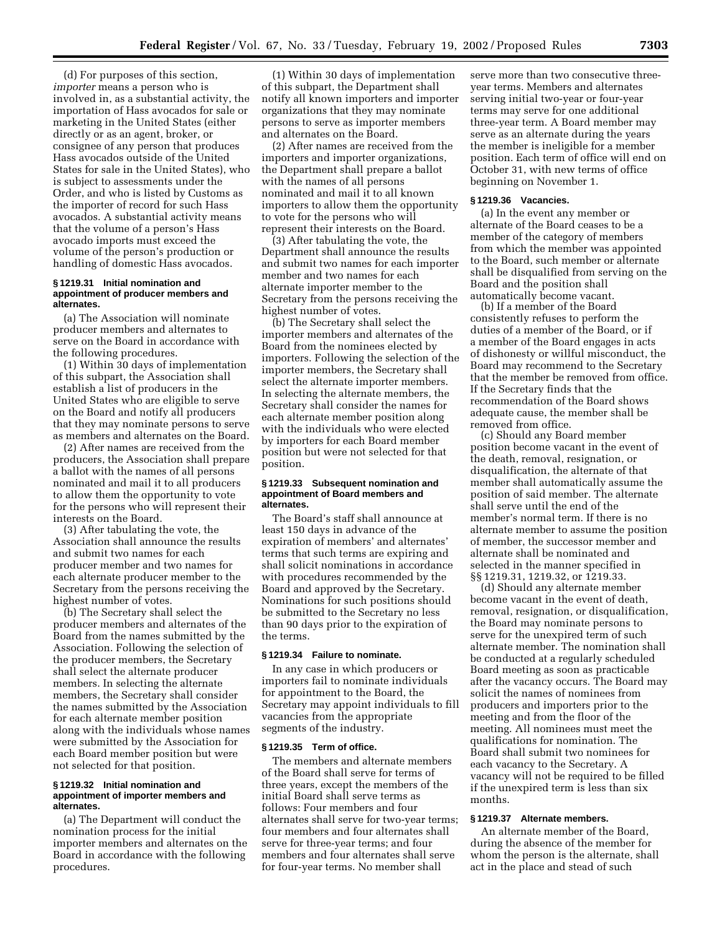(d) For purposes of this section, *importer* means a person who is involved in, as a substantial activity, the importation of Hass avocados for sale or marketing in the United States (either directly or as an agent, broker, or consignee of any person that produces Hass avocados outside of the United States for sale in the United States), who is subject to assessments under the Order, and who is listed by Customs as the importer of record for such Hass avocados. A substantial activity means that the volume of a person's Hass avocado imports must exceed the volume of the person's production or handling of domestic Hass avocados.

#### **§ 1219.31 Initial nomination and appointment of producer members and alternates.**

(a) The Association will nominate producer members and alternates to serve on the Board in accordance with the following procedures.

(1) Within 30 days of implementation of this subpart, the Association shall establish a list of producers in the United States who are eligible to serve on the Board and notify all producers that they may nominate persons to serve as members and alternates on the Board.

(2) After names are received from the producers, the Association shall prepare a ballot with the names of all persons nominated and mail it to all producers to allow them the opportunity to vote for the persons who will represent their interests on the Board.

(3) After tabulating the vote, the Association shall announce the results and submit two names for each producer member and two names for each alternate producer member to the Secretary from the persons receiving the highest number of votes.

(b) The Secretary shall select the producer members and alternates of the Board from the names submitted by the Association. Following the selection of the producer members, the Secretary shall select the alternate producer members. In selecting the alternate members, the Secretary shall consider the names submitted by the Association for each alternate member position along with the individuals whose names were submitted by the Association for each Board member position but were not selected for that position.

#### **§ 1219.32 Initial nomination and appointment of importer members and alternates.**

(a) The Department will conduct the nomination process for the initial importer members and alternates on the Board in accordance with the following procedures.

(1) Within 30 days of implementation of this subpart, the Department shall notify all known importers and importer organizations that they may nominate persons to serve as importer members and alternates on the Board.

(2) After names are received from the importers and importer organizations, the Department shall prepare a ballot with the names of all persons nominated and mail it to all known importers to allow them the opportunity to vote for the persons who will represent their interests on the Board.

(3) After tabulating the vote, the Department shall announce the results and submit two names for each importer member and two names for each alternate importer member to the Secretary from the persons receiving the highest number of votes.

(b) The Secretary shall select the importer members and alternates of the Board from the nominees elected by importers. Following the selection of the importer members, the Secretary shall select the alternate importer members. In selecting the alternate members, the Secretary shall consider the names for each alternate member position along with the individuals who were elected by importers for each Board member position but were not selected for that position.

#### **§ 1219.33 Subsequent nomination and appointment of Board members and alternates.**

The Board's staff shall announce at least 150 days in advance of the expiration of members' and alternates' terms that such terms are expiring and shall solicit nominations in accordance with procedures recommended by the Board and approved by the Secretary. Nominations for such positions should be submitted to the Secretary no less than 90 days prior to the expiration of the terms.

#### **§ 1219.34 Failure to nominate.**

In any case in which producers or importers fail to nominate individuals for appointment to the Board, the Secretary may appoint individuals to fill vacancies from the appropriate segments of the industry.

## **§ 1219.35 Term of office.**

The members and alternate members of the Board shall serve for terms of three years, except the members of the initial Board shall serve terms as follows: Four members and four alternates shall serve for two-year terms; four members and four alternates shall serve for three-year terms; and four members and four alternates shall serve for four-year terms. No member shall

serve more than two consecutive threeyear terms. Members and alternates serving initial two-year or four-year terms may serve for one additional three-year term. A Board member may serve as an alternate during the years the member is ineligible for a member position. Each term of office will end on October 31, with new terms of office beginning on November 1.

#### **§ 1219.36 Vacancies.**

(a) In the event any member or alternate of the Board ceases to be a member of the category of members from which the member was appointed to the Board, such member or alternate shall be disqualified from serving on the Board and the position shall automatically become vacant.

(b) If a member of the Board consistently refuses to perform the duties of a member of the Board, or if a member of the Board engages in acts of dishonesty or willful misconduct, the Board may recommend to the Secretary that the member be removed from office. If the Secretary finds that the recommendation of the Board shows adequate cause, the member shall be removed from office.

(c) Should any Board member position become vacant in the event of the death, removal, resignation, or disqualification, the alternate of that member shall automatically assume the position of said member. The alternate shall serve until the end of the member's normal term. If there is no alternate member to assume the position of member, the successor member and alternate shall be nominated and selected in the manner specified in §§ 1219.31, 1219.32, or 1219.33.

(d) Should any alternate member become vacant in the event of death, removal, resignation, or disqualification, the Board may nominate persons to serve for the unexpired term of such alternate member. The nomination shall be conducted at a regularly scheduled Board meeting as soon as practicable after the vacancy occurs. The Board may solicit the names of nominees from producers and importers prior to the meeting and from the floor of the meeting. All nominees must meet the qualifications for nomination. The Board shall submit two nominees for each vacancy to the Secretary. A vacancy will not be required to be filled if the unexpired term is less than six months.

## **§ 1219.37 Alternate members.**

An alternate member of the Board, during the absence of the member for whom the person is the alternate, shall act in the place and stead of such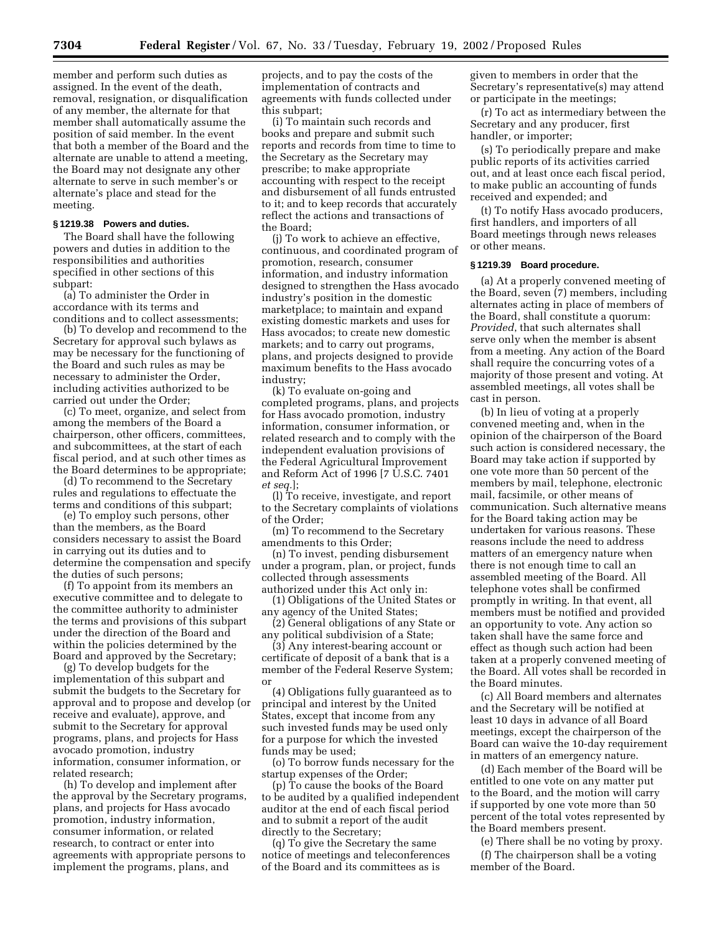member and perform such duties as assigned. In the event of the death, removal, resignation, or disqualification of any member, the alternate for that member shall automatically assume the position of said member. In the event that both a member of the Board and the alternate are unable to attend a meeting, the Board may not designate any other alternate to serve in such member's or alternate's place and stead for the meeting.

#### **§ 1219.38 Powers and duties.**

The Board shall have the following powers and duties in addition to the responsibilities and authorities specified in other sections of this subpart:

(a) To administer the Order in accordance with its terms and conditions and to collect assessments;

(b) To develop and recommend to the Secretary for approval such bylaws as may be necessary for the functioning of the Board and such rules as may be necessary to administer the Order, including activities authorized to be carried out under the Order;

(c) To meet, organize, and select from among the members of the Board a chairperson, other officers, committees, and subcommittees, at the start of each fiscal period, and at such other times as the Board determines to be appropriate;

(d) To recommend to the Secretary rules and regulations to effectuate the terms and conditions of this subpart;

(e) To employ such persons, other than the members, as the Board considers necessary to assist the Board in carrying out its duties and to determine the compensation and specify the duties of such persons;

(f) To appoint from its members an executive committee and to delegate to the committee authority to administer the terms and provisions of this subpart under the direction of the Board and within the policies determined by the Board and approved by the Secretary;

(g) To develop budgets for the implementation of this subpart and submit the budgets to the Secretary for approval and to propose and develop (or receive and evaluate), approve, and submit to the Secretary for approval programs, plans, and projects for Hass avocado promotion, industry information, consumer information, or related research;

(h) To develop and implement after the approval by the Secretary programs, plans, and projects for Hass avocado promotion, industry information, consumer information, or related research, to contract or enter into agreements with appropriate persons to implement the programs, plans, and

projects, and to pay the costs of the implementation of contracts and agreements with funds collected under this subpart;

(i) To maintain such records and books and prepare and submit such reports and records from time to time to the Secretary as the Secretary may prescribe; to make appropriate accounting with respect to the receipt and disbursement of all funds entrusted to it; and to keep records that accurately reflect the actions and transactions of the Board;

(j) To work to achieve an effective, continuous, and coordinated program of promotion, research, consumer information, and industry information designed to strengthen the Hass avocado industry's position in the domestic marketplace; to maintain and expand existing domestic markets and uses for Hass avocados; to create new domestic markets; and to carry out programs, plans, and projects designed to provide maximum benefits to the Hass avocado industry;

(k) To evaluate on-going and completed programs, plans, and projects for Hass avocado promotion, industry information, consumer information, or related research and to comply with the independent evaluation provisions of the Federal Agricultural Improvement and Reform Act of 1996 [7 U.S.C. 7401 *et seq.*];

(l) To receive, investigate, and report to the Secretary complaints of violations of the Order;

(m) To recommend to the Secretary amendments to this Order;

(n) To invest, pending disbursement under a program, plan, or project, funds collected through assessments authorized under this Act only in:

(1) Obligations of the United States or any agency of the United States;

(2) General obligations of any State or any political subdivision of a State;

(3) Any interest-bearing account or certificate of deposit of a bank that is a member of the Federal Reserve System; or

(4) Obligations fully guaranteed as to principal and interest by the United States, except that income from any such invested funds may be used only for a purpose for which the invested funds may be used;

(o) To borrow funds necessary for the startup expenses of the Order;

(p) To cause the books of the Board to be audited by a qualified independent auditor at the end of each fiscal period and to submit a report of the audit directly to the Secretary;

(q) To give the Secretary the same notice of meetings and teleconferences of the Board and its committees as is

given to members in order that the Secretary's representative(s) may attend or participate in the meetings;

(r) To act as intermediary between the Secretary and any producer, first handler, or importer;

(s) To periodically prepare and make public reports of its activities carried out, and at least once each fiscal period, to make public an accounting of funds received and expended; and

(t) To notify Hass avocado producers, first handlers, and importers of all Board meetings through news releases or other means.

# **§ 1219.39 Board procedure.**

(a) At a properly convened meeting of the Board, seven (7) members, including alternates acting in place of members of the Board, shall constitute a quorum: *Provided*, that such alternates shall serve only when the member is absent from a meeting. Any action of the Board shall require the concurring votes of a majority of those present and voting. At assembled meetings, all votes shall be cast in person.

(b) In lieu of voting at a properly convened meeting and, when in the opinion of the chairperson of the Board such action is considered necessary, the Board may take action if supported by one vote more than 50 percent of the members by mail, telephone, electronic mail, facsimile, or other means of communication. Such alternative means for the Board taking action may be undertaken for various reasons. These reasons include the need to address matters of an emergency nature when there is not enough time to call an assembled meeting of the Board. All telephone votes shall be confirmed promptly in writing. In that event, all members must be notified and provided an opportunity to vote. Any action so taken shall have the same force and effect as though such action had been taken at a properly convened meeting of the Board. All votes shall be recorded in the Board minutes.

(c) All Board members and alternates and the Secretary will be notified at least 10 days in advance of all Board meetings, except the chairperson of the Board can waive the 10-day requirement in matters of an emergency nature.

(d) Each member of the Board will be entitled to one vote on any matter put to the Board, and the motion will carry if supported by one vote more than 50 percent of the total votes represented by the Board members present.

(e) There shall be no voting by proxy. (f) The chairperson shall be a voting member of the Board.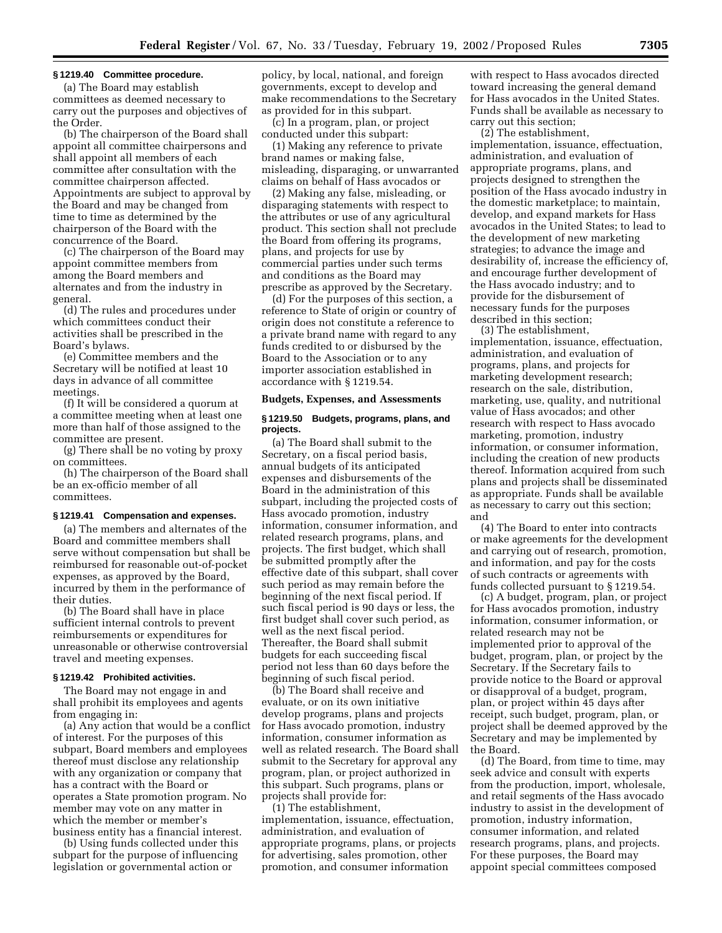#### **§ 1219.40 Committee procedure.**

(a) The Board may establish committees as deemed necessary to carry out the purposes and objectives of the Order.

(b) The chairperson of the Board shall appoint all committee chairpersons and shall appoint all members of each committee after consultation with the committee chairperson affected. Appointments are subject to approval by the Board and may be changed from time to time as determined by the chairperson of the Board with the concurrence of the Board.

(c) The chairperson of the Board may appoint committee members from among the Board members and alternates and from the industry in general.

(d) The rules and procedures under which committees conduct their activities shall be prescribed in the Board's bylaws.

(e) Committee members and the Secretary will be notified at least 10 days in advance of all committee meetings.

(f) It will be considered a quorum at a committee meeting when at least one more than half of those assigned to the committee are present.

(g) There shall be no voting by proxy on committees.

(h) The chairperson of the Board shall be an ex-officio member of all committees.

#### **§ 1219.41 Compensation and expenses.**

(a) The members and alternates of the Board and committee members shall serve without compensation but shall be reimbursed for reasonable out-of-pocket expenses, as approved by the Board, incurred by them in the performance of their duties.

(b) The Board shall have in place sufficient internal controls to prevent reimbursements or expenditures for unreasonable or otherwise controversial travel and meeting expenses.

#### **§ 1219.42 Prohibited activities.**

The Board may not engage in and shall prohibit its employees and agents from engaging in:

(a) Any action that would be a conflict of interest. For the purposes of this subpart, Board members and employees thereof must disclose any relationship with any organization or company that has a contract with the Board or operates a State promotion program. No member may vote on any matter in which the member or member's business entity has a financial interest.

(b) Using funds collected under this subpart for the purpose of influencing legislation or governmental action or

policy, by local, national, and foreign governments, except to develop and make recommendations to the Secretary as provided for in this subpart.

(c) In a program, plan, or project conducted under this subpart:

(1) Making any reference to private brand names or making false, misleading, disparaging, or unwarranted claims on behalf of Hass avocados or

(2) Making any false, misleading, or disparaging statements with respect to the attributes or use of any agricultural product. This section shall not preclude the Board from offering its programs, plans, and projects for use by commercial parties under such terms and conditions as the Board may prescribe as approved by the Secretary.

(d) For the purposes of this section, a reference to State of origin or country of origin does not constitute a reference to a private brand name with regard to any funds credited to or disbursed by the Board to the Association or to any importer association established in accordance with § 1219.54.

#### **Budgets, Expenses, and Assessments**

#### **§ 1219.50 Budgets, programs, plans, and projects.**

(a) The Board shall submit to the Secretary, on a fiscal period basis, annual budgets of its anticipated expenses and disbursements of the Board in the administration of this subpart, including the projected costs of Hass avocado promotion, industry information, consumer information, and related research programs, plans, and projects. The first budget, which shall be submitted promptly after the effective date of this subpart, shall cover such period as may remain before the beginning of the next fiscal period. If such fiscal period is 90 days or less, the first budget shall cover such period, as well as the next fiscal period. Thereafter, the Board shall submit budgets for each succeeding fiscal period not less than 60 days before the beginning of such fiscal period.

(b) The Board shall receive and evaluate, or on its own initiative develop programs, plans and projects for Hass avocado promotion, industry information, consumer information as well as related research. The Board shall submit to the Secretary for approval any program, plan, or project authorized in this subpart. Such programs, plans or projects shall provide for:

(1) The establishment, implementation, issuance, effectuation, administration, and evaluation of appropriate programs, plans, or projects for advertising, sales promotion, other promotion, and consumer information

with respect to Hass avocados directed toward increasing the general demand for Hass avocados in the United States. Funds shall be available as necessary to carry out this section;

(2) The establishment,

implementation, issuance, effectuation, administration, and evaluation of appropriate programs, plans, and projects designed to strengthen the position of the Hass avocado industry in the domestic marketplace; to maintain, develop, and expand markets for Hass avocados in the United States; to lead to the development of new marketing strategies; to advance the image and desirability of, increase the efficiency of, and encourage further development of the Hass avocado industry; and to provide for the disbursement of necessary funds for the purposes described in this section;

(3) The establishment,

implementation, issuance, effectuation, administration, and evaluation of programs, plans, and projects for marketing development research; research on the sale, distribution, marketing, use, quality, and nutritional value of Hass avocados; and other research with respect to Hass avocado marketing, promotion, industry information, or consumer information, including the creation of new products thereof. Information acquired from such plans and projects shall be disseminated as appropriate. Funds shall be available as necessary to carry out this section; and

(4) The Board to enter into contracts or make agreements for the development and carrying out of research, promotion, and information, and pay for the costs of such contracts or agreements with funds collected pursuant to § 1219.54.

(c) A budget, program, plan, or project for Hass avocados promotion, industry information, consumer information, or related research may not be implemented prior to approval of the budget, program, plan, or project by the Secretary. If the Secretary fails to provide notice to the Board or approval or disapproval of a budget, program, plan, or project within 45 days after receipt, such budget, program, plan, or project shall be deemed approved by the Secretary and may be implemented by the Board.

(d) The Board, from time to time, may seek advice and consult with experts from the production, import, wholesale, and retail segments of the Hass avocado industry to assist in the development of promotion, industry information, consumer information, and related research programs, plans, and projects. For these purposes, the Board may appoint special committees composed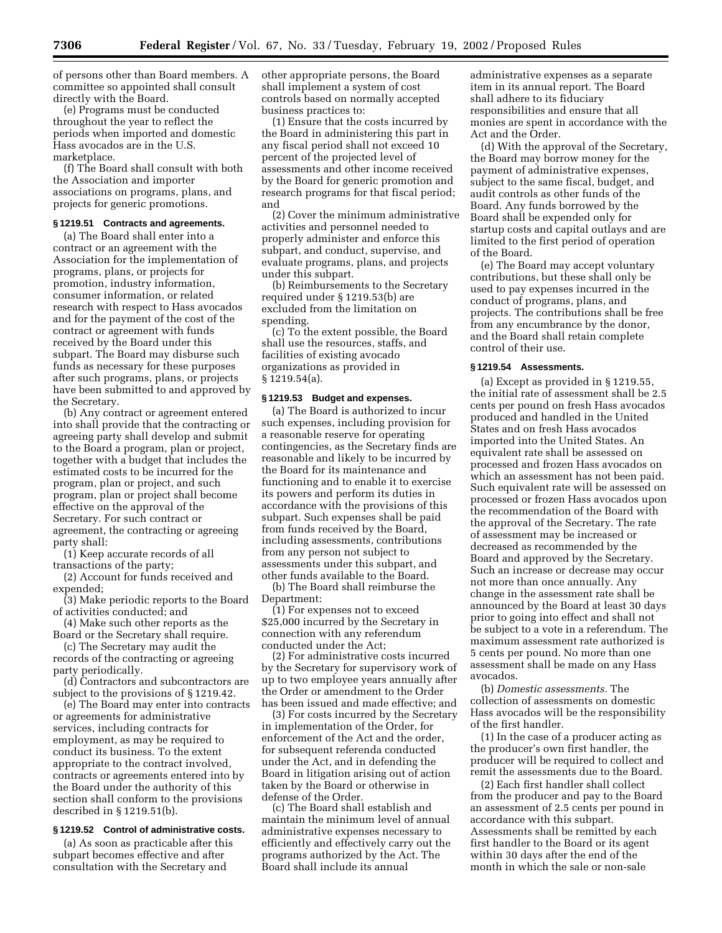of persons other than Board members. A committee so appointed shall consult directly with the Board.

(e) Programs must be conducted throughout the year to reflect the periods when imported and domestic Hass avocados are in the U.S. marketplace.

(f) The Board shall consult with both the Association and importer associations on programs, plans, and projects for generic promotions.

#### **§ 1219.51 Contracts and agreements.**

(a) The Board shall enter into a contract or an agreement with the Association for the implementation of programs, plans, or projects for promotion, industry information, consumer information, or related research with respect to Hass avocados and for the payment of the cost of the contract or agreement with funds received by the Board under this subpart. The Board may disburse such funds as necessary for these purposes after such programs, plans, or projects have been submitted to and approved by the Secretary.

(b) Any contract or agreement entered into shall provide that the contracting or agreeing party shall develop and submit to the Board a program, plan or project, together with a budget that includes the estimated costs to be incurred for the program, plan or project, and such program, plan or project shall become effective on the approval of the Secretary. For such contract or agreement, the contracting or agreeing party shall:

(1) Keep accurate records of all transactions of the party;

(2) Account for funds received and expended:

(3) Make periodic reports to the Board of activities conducted; and

(4) Make such other reports as the Board or the Secretary shall require.

(c) The Secretary may audit the records of the contracting or agreeing party periodically.

(d) Contractors and subcontractors are subject to the provisions of § 1219.42.

(e) The Board may enter into contracts or agreements for administrative services, including contracts for employment, as may be required to conduct its business. To the extent appropriate to the contract involved, contracts or agreements entered into by the Board under the authority of this section shall conform to the provisions described in § 1219.51(b).

## **§ 1219.52 Control of administrative costs.**

(a) As soon as practicable after this subpart becomes effective and after consultation with the Secretary and

other appropriate persons, the Board shall implement a system of cost controls based on normally accepted business practices to:

(1) Ensure that the costs incurred by the Board in administering this part in any fiscal period shall not exceed 10 percent of the projected level of assessments and other income received by the Board for generic promotion and research programs for that fiscal period; and

(2) Cover the minimum administrative activities and personnel needed to properly administer and enforce this subpart, and conduct, supervise, and evaluate programs, plans, and projects under this subpart.

(b) Reimbursements to the Secretary required under § 1219.53(b) are excluded from the limitation on spending.

(c) To the extent possible, the Board shall use the resources, staffs, and facilities of existing avocado organizations as provided in § 1219.54(a).

## **§ 1219.53 Budget and expenses.**

(a) The Board is authorized to incur such expenses, including provision for a reasonable reserve for operating contingencies, as the Secretary finds are reasonable and likely to be incurred by the Board for its maintenance and functioning and to enable it to exercise its powers and perform its duties in accordance with the provisions of this subpart. Such expenses shall be paid from funds received by the Board, including assessments, contributions from any person not subject to assessments under this subpart, and other funds available to the Board.

(b) The Board shall reimburse the Department:

(1) For expenses not to exceed \$25,000 incurred by the Secretary in connection with any referendum conducted under the Act;

(2) For administrative costs incurred by the Secretary for supervisory work of up to two employee years annually after the Order or amendment to the Order has been issued and made effective; and

(3) For costs incurred by the Secretary in implementation of the Order, for enforcement of the Act and the order, for subsequent referenda conducted under the Act, and in defending the Board in litigation arising out of action taken by the Board or otherwise in defense of the Order.

(c) The Board shall establish and maintain the minimum level of annual administrative expenses necessary to efficiently and effectively carry out the programs authorized by the Act. The Board shall include its annual

administrative expenses as a separate item in its annual report. The Board shall adhere to its fiduciary responsibilities and ensure that all monies are spent in accordance with the Act and the Order.

(d) With the approval of the Secretary, the Board may borrow money for the payment of administrative expenses, subject to the same fiscal, budget, and audit controls as other funds of the Board. Any funds borrowed by the Board shall be expended only for startup costs and capital outlays and are limited to the first period of operation of the Board.

(e) The Board may accept voluntary contributions, but these shall only be used to pay expenses incurred in the conduct of programs, plans, and projects. The contributions shall be free from any encumbrance by the donor, and the Board shall retain complete control of their use.

## **§ 1219.54 Assessments.**

(a) Except as provided in § 1219.55, the initial rate of assessment shall be 2.5 cents per pound on fresh Hass avocados produced and handled in the United States and on fresh Hass avocados imported into the United States. An equivalent rate shall be assessed on processed and frozen Hass avocados on which an assessment has not been paid. Such equivalent rate will be assessed on processed or frozen Hass avocados upon the recommendation of the Board with the approval of the Secretary. The rate of assessment may be increased or decreased as recommended by the Board and approved by the Secretary. Such an increase or decrease may occur not more than once annually. Any change in the assessment rate shall be announced by the Board at least 30 days prior to going into effect and shall not be subject to a vote in a referendum. The maximum assessment rate authorized is 5 cents per pound. No more than one assessment shall be made on any Hass avocados.

(b) *Domestic assessments.* The collection of assessments on domestic Hass avocados will be the responsibility of the first handler.

(1) In the case of a producer acting as the producer's own first handler, the producer will be required to collect and remit the assessments due to the Board.

(2) Each first handler shall collect from the producer and pay to the Board an assessment of 2.5 cents per pound in accordance with this subpart. Assessments shall be remitted by each first handler to the Board or its agent within 30 days after the end of the month in which the sale or non-sale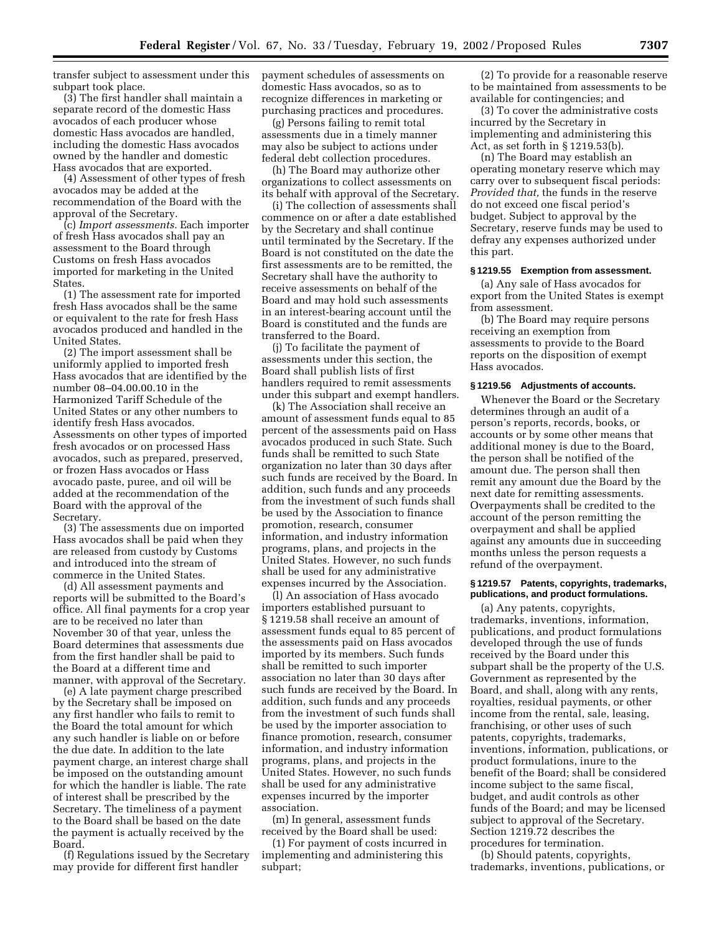transfer subject to assessment under this subpart took place.

(3) The first handler shall maintain a separate record of the domestic Hass avocados of each producer whose domestic Hass avocados are handled, including the domestic Hass avocados owned by the handler and domestic Hass avocados that are exported.

(4) Assessment of other types of fresh avocados may be added at the recommendation of the Board with the approval of the Secretary.

(c) *Import assessments.* Each importer of fresh Hass avocados shall pay an assessment to the Board through Customs on fresh Hass avocados imported for marketing in the United States.

(1) The assessment rate for imported fresh Hass avocados shall be the same or equivalent to the rate for fresh Hass avocados produced and handled in the United States.

(2) The import assessment shall be uniformly applied to imported fresh Hass avocados that are identified by the number 08–04.00.00.10 in the Harmonized Tariff Schedule of the United States or any other numbers to identify fresh Hass avocados. Assessments on other types of imported fresh avocados or on processed Hass avocados, such as prepared, preserved, or frozen Hass avocados or Hass avocado paste, puree, and oil will be added at the recommendation of the Board with the approval of the Secretary.

(3) The assessments due on imported Hass avocados shall be paid when they are released from custody by Customs and introduced into the stream of commerce in the United States.

(d) All assessment payments and reports will be submitted to the Board's office. All final payments for a crop year are to be received no later than November 30 of that year, unless the Board determines that assessments due from the first handler shall be paid to the Board at a different time and manner, with approval of the Secretary.

(e) A late payment charge prescribed by the Secretary shall be imposed on any first handler who fails to remit to the Board the total amount for which any such handler is liable on or before the due date. In addition to the late payment charge, an interest charge shall be imposed on the outstanding amount for which the handler is liable. The rate of interest shall be prescribed by the Secretary. The timeliness of a payment to the Board shall be based on the date the payment is actually received by the Board.

(f) Regulations issued by the Secretary may provide for different first handler

payment schedules of assessments on domestic Hass avocados, so as to recognize differences in marketing or purchasing practices and procedures.

(g) Persons failing to remit total assessments due in a timely manner may also be subject to actions under federal debt collection procedures.

(h) The Board may authorize other organizations to collect assessments on its behalf with approval of the Secretary.

(i) The collection of assessments shall commence on or after a date established by the Secretary and shall continue until terminated by the Secretary. If the Board is not constituted on the date the first assessments are to be remitted, the Secretary shall have the authority to receive assessments on behalf of the Board and may hold such assessments in an interest-bearing account until the Board is constituted and the funds are transferred to the Board.

(j) To facilitate the payment of assessments under this section, the Board shall publish lists of first handlers required to remit assessments under this subpart and exempt handlers.

(k) The Association shall receive an amount of assessment funds equal to 85 percent of the assessments paid on Hass avocados produced in such State. Such funds shall be remitted to such State organization no later than 30 days after such funds are received by the Board. In addition, such funds and any proceeds from the investment of such funds shall be used by the Association to finance promotion, research, consumer information, and industry information programs, plans, and projects in the United States. However, no such funds shall be used for any administrative expenses incurred by the Association.

(l) An association of Hass avocado importers established pursuant to § 1219.58 shall receive an amount of assessment funds equal to 85 percent of the assessments paid on Hass avocados imported by its members. Such funds shall be remitted to such importer association no later than 30 days after such funds are received by the Board. In addition, such funds and any proceeds from the investment of such funds shall be used by the importer association to finance promotion, research, consumer information, and industry information programs, plans, and projects in the United States. However, no such funds shall be used for any administrative expenses incurred by the importer association.

(m) In general, assessment funds received by the Board shall be used:

(1) For payment of costs incurred in implementing and administering this subpart;

(2) To provide for a reasonable reserve to be maintained from assessments to be available for contingencies; and

(3) To cover the administrative costs incurred by the Secretary in implementing and administering this Act, as set forth in § 1219.53(b).

(n) The Board may establish an operating monetary reserve which may carry over to subsequent fiscal periods: *Provided that,* the funds in the reserve do not exceed one fiscal period's budget. Subject to approval by the Secretary, reserve funds may be used to defray any expenses authorized under this part.

#### **§ 1219.55 Exemption from assessment.**

(a) Any sale of Hass avocados for export from the United States is exempt from assessment.

(b) The Board may require persons receiving an exemption from assessments to provide to the Board reports on the disposition of exempt Hass avocados.

## **§ 1219.56 Adjustments of accounts.**

Whenever the Board or the Secretary determines through an audit of a person's reports, records, books, or accounts or by some other means that additional money is due to the Board, the person shall be notified of the amount due. The person shall then remit any amount due the Board by the next date for remitting assessments. Overpayments shall be credited to the account of the person remitting the overpayment and shall be applied against any amounts due in succeeding months unless the person requests a refund of the overpayment.

#### **§ 1219.57 Patents, copyrights, trademarks, publications, and product formulations.**

(a) Any patents, copyrights, trademarks, inventions, information, publications, and product formulations developed through the use of funds received by the Board under this subpart shall be the property of the U.S. Government as represented by the Board, and shall, along with any rents, royalties, residual payments, or other income from the rental, sale, leasing, franchising, or other uses of such patents, copyrights, trademarks, inventions, information, publications, or product formulations, inure to the benefit of the Board; shall be considered income subject to the same fiscal, budget, and audit controls as other funds of the Board; and may be licensed subject to approval of the Secretary. Section 1219.72 describes the procedures for termination.

(b) Should patents, copyrights, trademarks, inventions, publications, or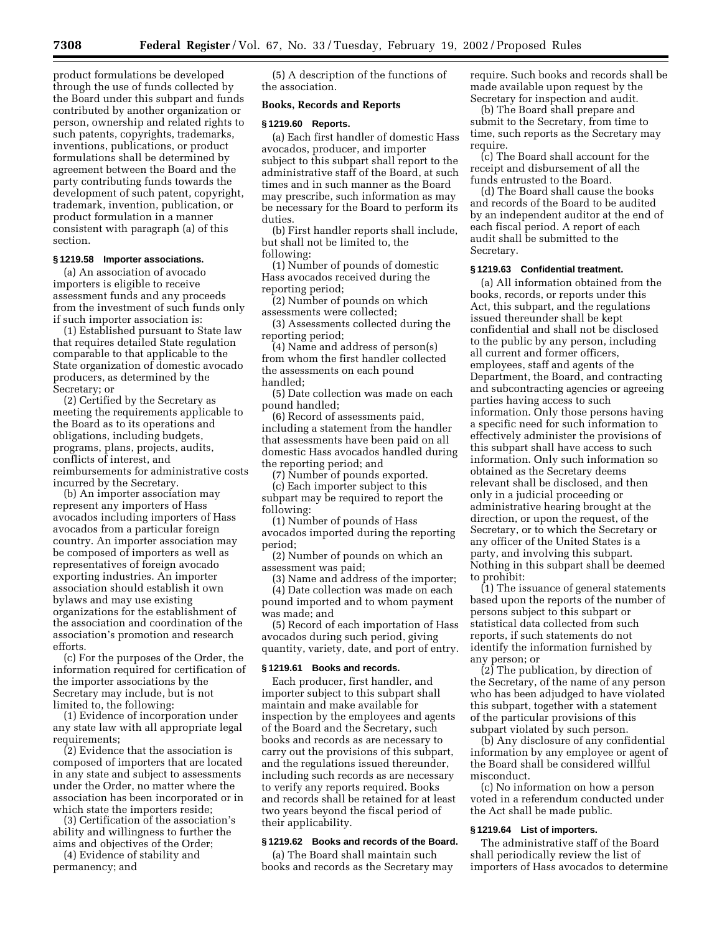product formulations be developed through the use of funds collected by the Board under this subpart and funds contributed by another organization or person, ownership and related rights to such patents, copyrights, trademarks, inventions, publications, or product formulations shall be determined by agreement between the Board and the party contributing funds towards the development of such patent, copyright, trademark, invention, publication, or product formulation in a manner consistent with paragraph (a) of this section.

# **§ 1219.58 Importer associations.**

(a) An association of avocado importers is eligible to receive assessment funds and any proceeds from the investment of such funds only if such importer association is:

(1) Established pursuant to State law that requires detailed State regulation comparable to that applicable to the State organization of domestic avocado producers, as determined by the Secretary; or

(2) Certified by the Secretary as meeting the requirements applicable to the Board as to its operations and obligations, including budgets, programs, plans, projects, audits, conflicts of interest, and reimbursements for administrative costs incurred by the Secretary.

(b) An importer association may represent any importers of Hass avocados including importers of Hass avocados from a particular foreign country. An importer association may be composed of importers as well as representatives of foreign avocado exporting industries. An importer association should establish it own bylaws and may use existing organizations for the establishment of the association and coordination of the association's promotion and research efforts.

(c) For the purposes of the Order, the information required for certification of the importer associations by the Secretary may include, but is not limited to, the following:

(1) Evidence of incorporation under any state law with all appropriate legal requirements;

(2) Evidence that the association is composed of importers that are located in any state and subject to assessments under the Order, no matter where the association has been incorporated or in which state the importers reside;

(3) Certification of the association's ability and willingness to further the aims and objectives of the Order;

(4) Evidence of stability and permanency; and

(5) A description of the functions of the association.

## **Books, Records and Reports**

#### **§ 1219.60 Reports.**

(a) Each first handler of domestic Hass avocados, producer, and importer subject to this subpart shall report to the administrative staff of the Board, at such times and in such manner as the Board may prescribe, such information as may be necessary for the Board to perform its duties.

(b) First handler reports shall include, but shall not be limited to, the following:

(1) Number of pounds of domestic Hass avocados received during the reporting period;

(2) Number of pounds on which assessments were collected;

(3) Assessments collected during the reporting period;

(4) Name and address of person(s) from whom the first handler collected the assessments on each pound handled;

(5) Date collection was made on each pound handled;

(6) Record of assessments paid, including a statement from the handler that assessments have been paid on all domestic Hass avocados handled during the reporting period; and

(7) Number of pounds exported. (c) Each importer subject to this subpart may be required to report the following:

(1) Number of pounds of Hass avocados imported during the reporting period;

(2) Number of pounds on which an assessment was paid;

(3) Name and address of the importer; (4) Date collection was made on each

pound imported and to whom payment was made; and (5) Record of each importation of Hass

avocados during such period, giving quantity, variety, date, and port of entry.

## **§ 1219.61 Books and records.**

Each producer, first handler, and importer subject to this subpart shall maintain and make available for inspection by the employees and agents of the Board and the Secretary, such books and records as are necessary to carry out the provisions of this subpart, and the regulations issued thereunder, including such records as are necessary to verify any reports required. Books and records shall be retained for at least two years beyond the fiscal period of their applicability.

## **§ 1219.62 Books and records of the Board.**

(a) The Board shall maintain such books and records as the Secretary may require. Such books and records shall be made available upon request by the Secretary for inspection and audit.

(b) The Board shall prepare and submit to the Secretary, from time to time, such reports as the Secretary may require.

(c) The Board shall account for the receipt and disbursement of all the funds entrusted to the Board.

(d) The Board shall cause the books and records of the Board to be audited by an independent auditor at the end of each fiscal period. A report of each audit shall be submitted to the Secretary.

## **§ 1219.63 Confidential treatment.**

(a) All information obtained from the books, records, or reports under this Act, this subpart, and the regulations issued thereunder shall be kept confidential and shall not be disclosed to the public by any person, including all current and former officers, employees, staff and agents of the Department, the Board, and contracting and subcontracting agencies or agreeing parties having access to such information. Only those persons having a specific need for such information to effectively administer the provisions of this subpart shall have access to such information. Only such information so obtained as the Secretary deems relevant shall be disclosed, and then only in a judicial proceeding or administrative hearing brought at the direction, or upon the request, of the Secretary, or to which the Secretary or any officer of the United States is a party, and involving this subpart. Nothing in this subpart shall be deemed to prohibit:

(1) The issuance of general statements based upon the reports of the number of persons subject to this subpart or statistical data collected from such reports, if such statements do not identify the information furnished by any person; or

(2) The publication, by direction of the Secretary, of the name of any person who has been adjudged to have violated this subpart, together with a statement of the particular provisions of this subpart violated by such person.

(b) Any disclosure of any confidential information by any employee or agent of the Board shall be considered willful misconduct.

(c) No information on how a person voted in a referendum conducted under the Act shall be made public.

## **§ 1219.64 List of importers.**

The administrative staff of the Board shall periodically review the list of importers of Hass avocados to determine